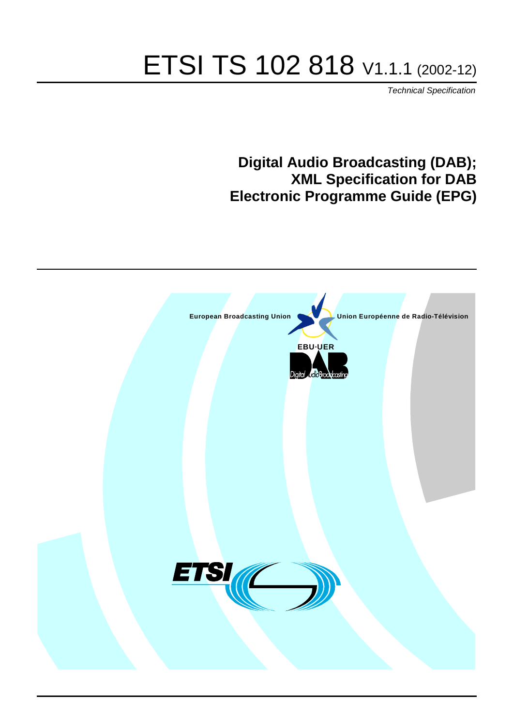# ETSI TS 102 818 V1.1.1 (2002-12)

Technical Specification

## **Digital Audio Broadcasting (DAB); XML Specification for DAB Electronic Programme Guide (EPG)**

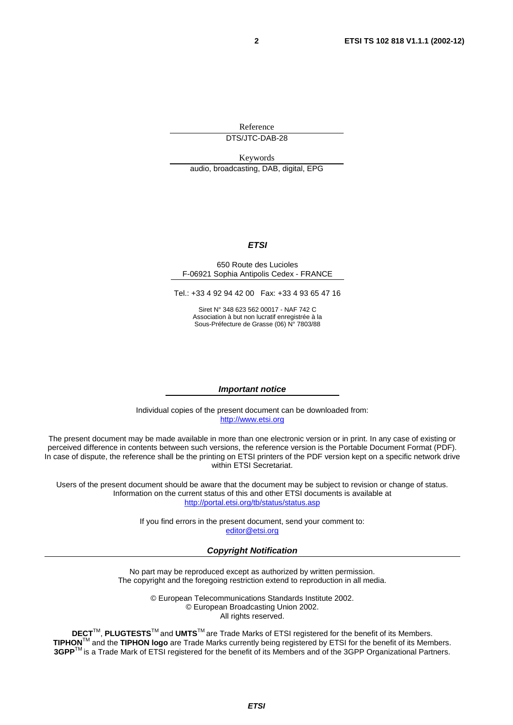Reference DTS/JTC-DAB-28

Keywords audio, broadcasting, DAB, digital, EPG

#### **ETSI**

#### 650 Route des Lucioles F-06921 Sophia Antipolis Cedex - FRANCE

Tel.: +33 4 92 94 42 00 Fax: +33 4 93 65 47 16

Siret N° 348 623 562 00017 - NAF 742 C Association à but non lucratif enregistrée à la Sous-Préfecture de Grasse (06) N° 7803/88

#### **Important notice**

Individual copies of the present document can be downloaded from: [http://www.etsi.org](http://www.etsi.org/)

The present document may be made available in more than one electronic version or in print. In any case of existing or perceived difference in contents between such versions, the reference version is the Portable Document Format (PDF). In case of dispute, the reference shall be the printing on ETSI printers of the PDF version kept on a specific network drive within ETSI Secretariat.

Users of the present document should be aware that the document may be subject to revision or change of status. Information on the current status of this and other ETSI documents is available at <http://portal.etsi.org/tb/status/status.asp>

> If you find errors in the present document, send your comment to: [editor@etsi.org](mailto:editor@etsi.org)

#### **Copyright Notification**

No part may be reproduced except as authorized by written permission. The copyright and the foregoing restriction extend to reproduction in all media.

> © European Telecommunications Standards Institute 2002. © European Broadcasting Union 2002. All rights reserved.

**DECT**TM, **PLUGTESTS**TM and **UMTS**TM are Trade Marks of ETSI registered for the benefit of its Members. **TIPHON**TM and the **TIPHON logo** are Trade Marks currently being registered by ETSI for the benefit of its Members. **3GPP**TM is a Trade Mark of ETSI registered for the benefit of its Members and of the 3GPP Organizational Partners.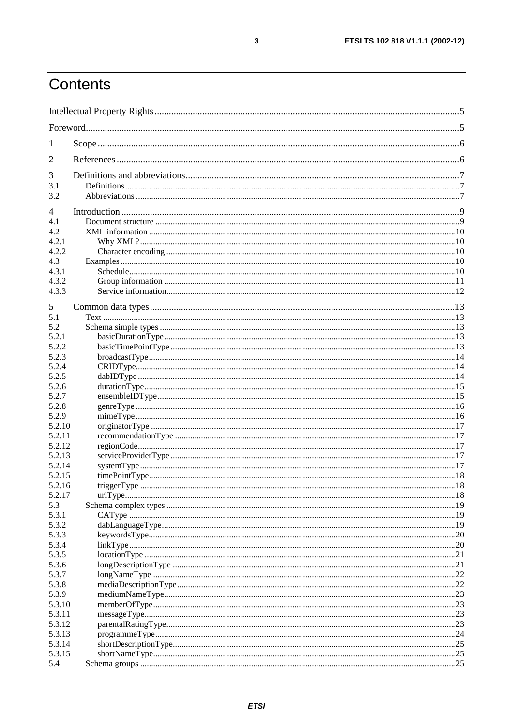## Contents

| $\mathbf{I}$   |  |  |  |  |  |
|----------------|--|--|--|--|--|
| 2              |  |  |  |  |  |
| 3              |  |  |  |  |  |
| 3.1            |  |  |  |  |  |
| 3.2            |  |  |  |  |  |
| $\overline{4}$ |  |  |  |  |  |
| 4.1            |  |  |  |  |  |
| 4.2            |  |  |  |  |  |
| 4.2.1          |  |  |  |  |  |
| 4.2.2          |  |  |  |  |  |
| 4.3            |  |  |  |  |  |
| 4.3.1          |  |  |  |  |  |
| 4.3.2          |  |  |  |  |  |
| 4.3.3          |  |  |  |  |  |
| 5              |  |  |  |  |  |
| 5.1            |  |  |  |  |  |
| 5.2            |  |  |  |  |  |
| 5.2.1          |  |  |  |  |  |
| 5.2.2          |  |  |  |  |  |
| 5.2.3          |  |  |  |  |  |
| 5.2.4          |  |  |  |  |  |
| 5.2.5          |  |  |  |  |  |
| 5.2.6          |  |  |  |  |  |
| 5.2.7          |  |  |  |  |  |
| 5.2.8          |  |  |  |  |  |
| 5.2.9          |  |  |  |  |  |
| 5.2.10         |  |  |  |  |  |
| 5.2.11         |  |  |  |  |  |
| 5.2.12         |  |  |  |  |  |
| 5.2.13         |  |  |  |  |  |
| 5.2.14         |  |  |  |  |  |
| 5.2.15         |  |  |  |  |  |
| 5.2.16         |  |  |  |  |  |
| 5.2.17         |  |  |  |  |  |
| 5.3            |  |  |  |  |  |
| 5.3.1          |  |  |  |  |  |
| 5.3.2<br>5.3.3 |  |  |  |  |  |
| 5.3.4          |  |  |  |  |  |
| 5.3.5          |  |  |  |  |  |
| 5.3.6          |  |  |  |  |  |
| 5.3.7          |  |  |  |  |  |
| 5.3.8          |  |  |  |  |  |
| 5.3.9          |  |  |  |  |  |
| 5.3.10         |  |  |  |  |  |
| 5.3.11         |  |  |  |  |  |
| 5.3.12         |  |  |  |  |  |
| 5.3.13         |  |  |  |  |  |
| 5.3.14         |  |  |  |  |  |
| 5.3.15         |  |  |  |  |  |
| 5.4            |  |  |  |  |  |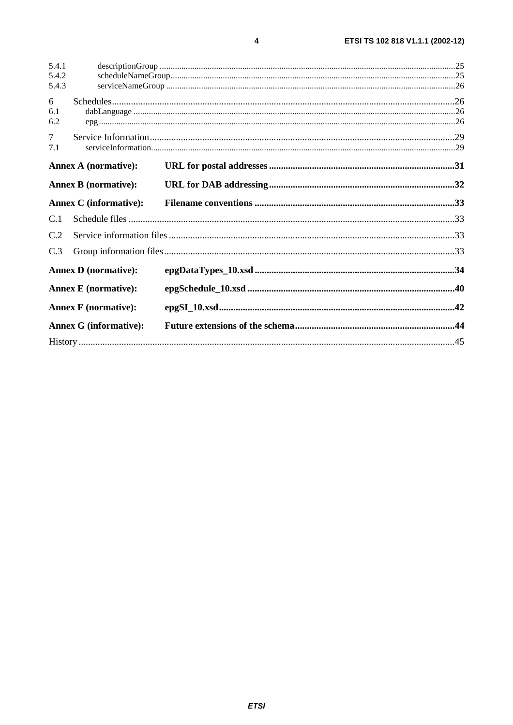| 5.4.1                                                      |                               |  |  |
|------------------------------------------------------------|-------------------------------|--|--|
| 5.4.2<br>5.4.3                                             |                               |  |  |
|                                                            |                               |  |  |
| 6<br>6.1                                                   |                               |  |  |
| 6.2                                                        |                               |  |  |
| $\overline{7}$                                             |                               |  |  |
| 7.1                                                        |                               |  |  |
| <b>Annex A (normative):</b>                                |                               |  |  |
|                                                            | <b>Annex B</b> (normative):   |  |  |
|                                                            | <b>Annex C</b> (informative): |  |  |
| C.1                                                        |                               |  |  |
| C.2                                                        |                               |  |  |
| C.3                                                        |                               |  |  |
|                                                            | <b>Annex D</b> (normative):   |  |  |
| <b>Annex E</b> (normative):<br><b>Annex F</b> (normative): |                               |  |  |
|                                                            |                               |  |  |
| <b>Annex G (informative):</b>                              |                               |  |  |
|                                                            |                               |  |  |

 $\overline{\mathbf{4}}$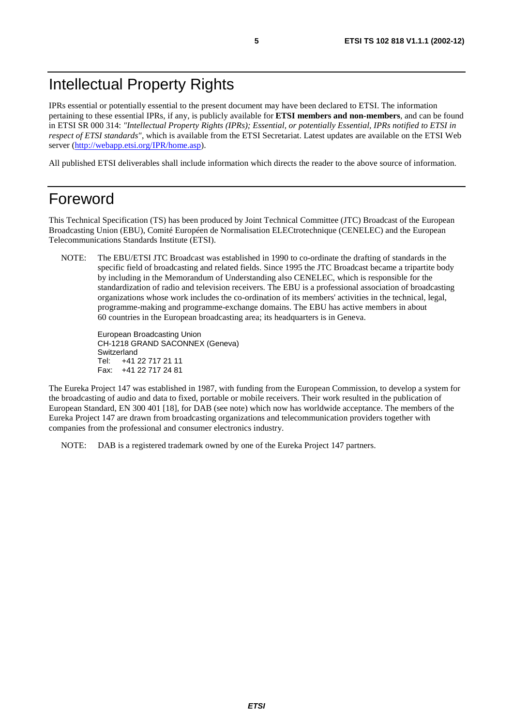## Intellectual Property Rights

IPRs essential or potentially essential to the present document may have been declared to ETSI. The information pertaining to these essential IPRs, if any, is publicly available for **ETSI members and non-members**, and can be found in ETSI SR 000 314: *"Intellectual Property Rights (IPRs); Essential, or potentially Essential, IPRs notified to ETSI in respect of ETSI standards"*, which is available from the ETSI Secretariat. Latest updates are available on the ETSI Web server ([http://webapp.etsi.org/IPR/home.asp\)](http://webapp.etsi.org/IPR/home.asp).

All published ETSI deliverables shall include information which directs the reader to the above source of information.

## Foreword

This Technical Specification (TS) has been produced by Joint Technical Committee (JTC) Broadcast of the European Broadcasting Union (EBU), Comité Européen de Normalisation ELECtrotechnique (CENELEC) and the European Telecommunications Standards Institute (ETSI).

NOTE: The EBU/ETSI JTC Broadcast was established in 1990 to co-ordinate the drafting of standards in the specific field of broadcasting and related fields. Since 1995 the JTC Broadcast became a tripartite body by including in the Memorandum of Understanding also CENELEC, which is responsible for the standardization of radio and television receivers. The EBU is a professional association of broadcasting organizations whose work includes the co-ordination of its members' activities in the technical, legal, programme-making and programme-exchange domains. The EBU has active members in about 60 countries in the European broadcasting area; its headquarters is in Geneva.

European Broadcasting Union CH-1218 GRAND SACONNEX (Geneva) Switzerland Tel: +41 22 717 21 11 Fax: +41 22 717 24 81

The Eureka Project 147 was established in 1987, with funding from the European Commission, to develop a system for the broadcasting of audio and data to fixed, portable or mobile receivers. Their work resulted in the publication of European Standard, EN 300 401 [18], for DAB (see note) which now has worldwide acceptance. The members of the Eureka Project 147 are drawn from broadcasting organizations and telecommunication providers together with companies from the professional and consumer electronics industry.

NOTE: DAB is a registered trademark owned by one of the Eureka Project 147 partners.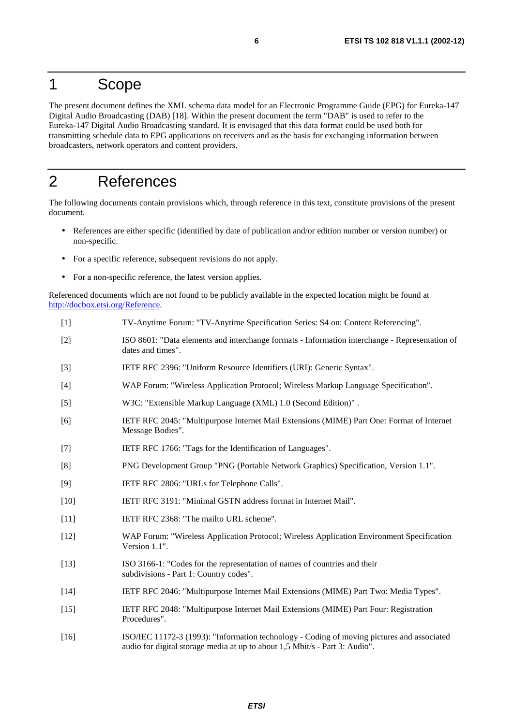## 1 Scope

The present document defines the XML schema data model for an Electronic Programme Guide (EPG) for Eureka-147 Digital Audio Broadcasting (DAB) [18]. Within the present document the term "DAB" is used to refer to the Eureka-147 Digital Audio Broadcasting standard. It is envisaged that this data format could be used both for transmitting schedule data to EPG applications on receivers and as the basis for exchanging information between broadcasters, network operators and content providers.

## 2 References

The following documents contain provisions which, through reference in this text, constitute provisions of the present document.

- References are either specific (identified by date of publication and/or edition number or version number) or non-specific.
- For a specific reference, subsequent revisions do not apply.
- For a non-specific reference, the latest version applies.

Referenced documents which are not found to be publicly available in the expected location might be found at <http://docbox.etsi.org/Reference>.

- [1] TV-Anytime Forum: "TV-Anytime Specification Series: S4 on: Content Referencing".
- [2] ISO 8601: "Data elements and interchange formats Information interchange Representation of dates and times".
- [3] IETF RFC 2396: "Uniform Resource Identifiers (URI): Generic Syntax".
- [4] WAP Forum: "Wireless Application Protocol; Wireless Markup Language Specification".
- [5] W3C: "Extensible Markup Language (XML) 1.0 (Second Edition)" .
- [6] IETF RFC 2045: "Multipurpose Internet Mail Extensions (MIME) Part One: Format of Internet Message Bodies".
- [7] IETF RFC 1766: "Tags for the Identification of Languages".
- [8] PNG Development Group "PNG (Portable Network Graphics) Specification, Version 1.1".
- [9] IETF RFC 2806: "URLs for Telephone Calls".
- [10] IETF RFC 3191: "Minimal GSTN address format in Internet Mail".
- [11] **IETF RFC 2368: "The mailto URL scheme".**
- [12] WAP Forum: "Wireless Application Protocol; Wireless Application Environment Specification Version 1.1".
- [13] ISO 3166-1: "Codes for the representation of names of countries and their subdivisions - Part 1: Country codes".
- [14] IETF RFC 2046: "Multipurpose Internet Mail Extensions (MIME) Part Two: Media Types".
- [15] IETF RFC 2048: "Multipurpose Internet Mail Extensions (MIME) Part Four: Registration Procedures".
- [16] ISO/IEC 11172-3 (1993): "Information technology Coding of moving pictures and associated audio for digital storage media at up to about 1,5 Mbit/s - Part 3: Audio".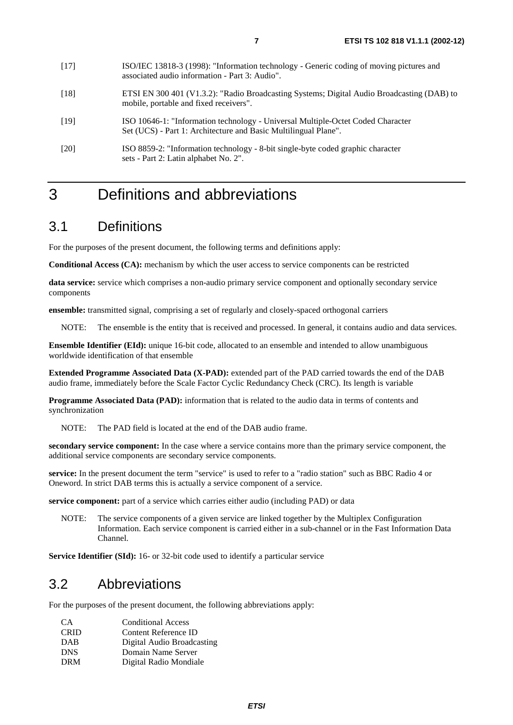- [18] ETSI EN 300 401 (V1.3.2): "Radio Broadcasting Systems; Digital Audio Broadcasting (DAB) to mobile, portable and fixed receivers".
- [19] ISO 10646-1: "Information technology Universal Multiple-Octet Coded Character Set (UCS) - Part 1: Architecture and Basic Multilingual Plane".
- [20] ISO 8859-2: "Information technology 8-bit single-byte coded graphic character sets - Part 2: Latin alphabet No. 2".

## 3 Definitions and abbreviations

## 3.1 Definitions

For the purposes of the present document, the following terms and definitions apply:

**Conditional Access (CA):** mechanism by which the user access to service components can be restricted

**data service:** service which comprises a non-audio primary service component and optionally secondary service components

**ensemble:** transmitted signal, comprising a set of regularly and closely-spaced orthogonal carriers

NOTE: The ensemble is the entity that is received and processed. In general, it contains audio and data services.

**Ensemble Identifier (EId):** unique 16-bit code, allocated to an ensemble and intended to allow unambiguous worldwide identification of that ensemble

**Extended Programme Associated Data (X-PAD):** extended part of the PAD carried towards the end of the DAB audio frame, immediately before the Scale Factor Cyclic Redundancy Check (CRC). Its length is variable

**Programme Associated Data (PAD):** information that is related to the audio data in terms of contents and synchronization

NOTE: The PAD field is located at the end of the DAB audio frame.

**secondary service component:** In the case where a service contains more than the primary service component, the additional service components are secondary service components.

**service:** In the present document the term "service" is used to refer to a "radio station" such as BBC Radio 4 or Oneword. In strict DAB terms this is actually a service component of a service.

**service component:** part of a service which carries either audio (including PAD) or data

NOTE: The service components of a given service are linked together by the Multiplex Configuration Information. Each service component is carried either in a sub-channel or in the Fast Information Data Channel.

**Service Identifier (SId):** 16- or 32-bit code used to identify a particular service

### 3.2 Abbreviations

For the purposes of the present document, the following abbreviations apply:

| CA.         | <b>Conditional Access</b>  |
|-------------|----------------------------|
| <b>CRID</b> | Content Reference ID       |
| <b>DAB</b>  | Digital Audio Broadcasting |
| <b>DNS</b>  | Domain Name Server         |
| <b>DRM</b>  | Digital Radio Mondiale     |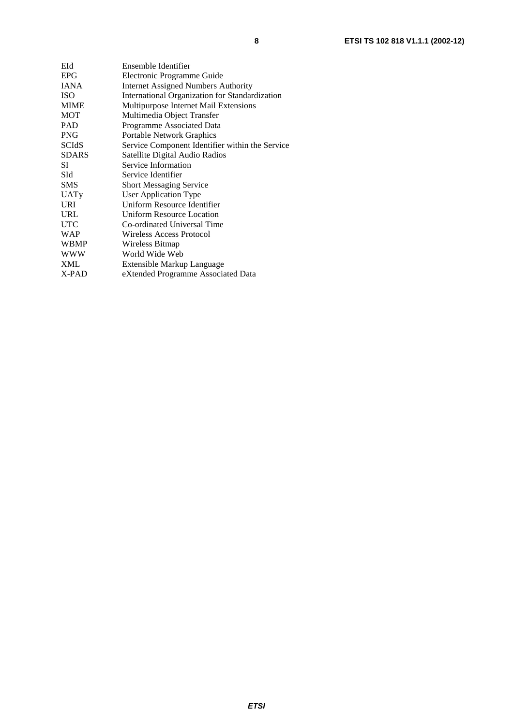| EId   | Ensemble Identifier                             |
|-------|-------------------------------------------------|
| EPG   | Electronic Programme Guide                      |
| IANA  | <b>Internet Assigned Numbers Authority</b>      |
| ISO   | International Organization for Standardization  |
| MIME  | Multipurpose Internet Mail Extensions           |
| MOT   | Multimedia Object Transfer                      |
| PAD   | Programme Associated Data                       |
| PNG   | Portable Network Graphics                       |
| SCIdS | Service Component Identifier within the Service |
| SDARS | Satellite Digital Audio Radios                  |
| SI    | Service Information                             |
| SId   | Service Identifier                              |
| SMS   | <b>Short Messaging Service</b>                  |
| UATy  | <b>User Application Type</b>                    |
| URI   | Uniform Resource Identifier                     |
| URL   | <b>Uniform Resource Location</b>                |
| UTC   | Co-ordinated Universal Time                     |
| WAP   | Wireless Access Protocol                        |
| WBMP  | Wireless Bitmap                                 |
| WWW   | World Wide Web                                  |
| XML   | Extensible Markup Language                      |
| X-PAD | eXtended Programme Associated Data              |
|       |                                                 |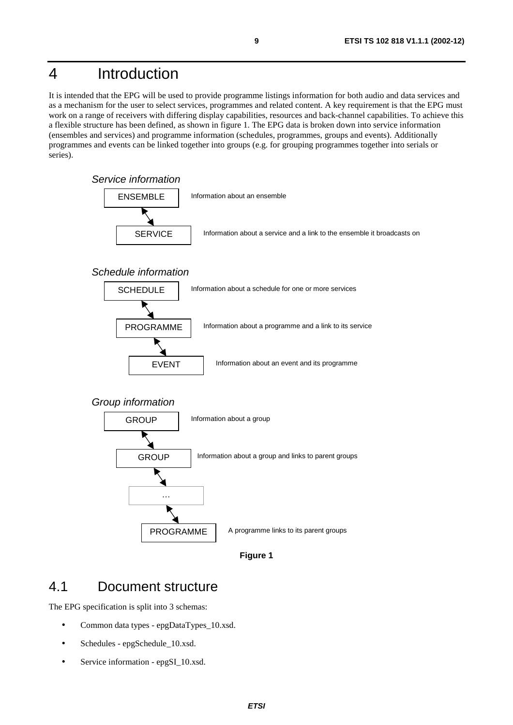## 4 Introduction

It is intended that the EPG will be used to provide programme listings information for both audio and data services and as a mechanism for the user to select services, programmes and related content. A key requirement is that the EPG must work on a range of receivers with differing display capabilities, resources and back-channel capabilities. To achieve this a flexible structure has been defined, as shown in figure 1. The EPG data is broken down into service information (ensembles and services) and programme information (schedules, programmes, groups and events). Additionally programmes and events can be linked together into groups (e.g. for grouping programmes together into serials or series).



### **Figure 1**

## 4.1 Document structure

The EPG specification is split into 3 schemas:

- Common data types epgDataTypes\_10.xsd.
- Schedules epgSchedule\_10.xsd.
- Service information epgSI\_10.xsd.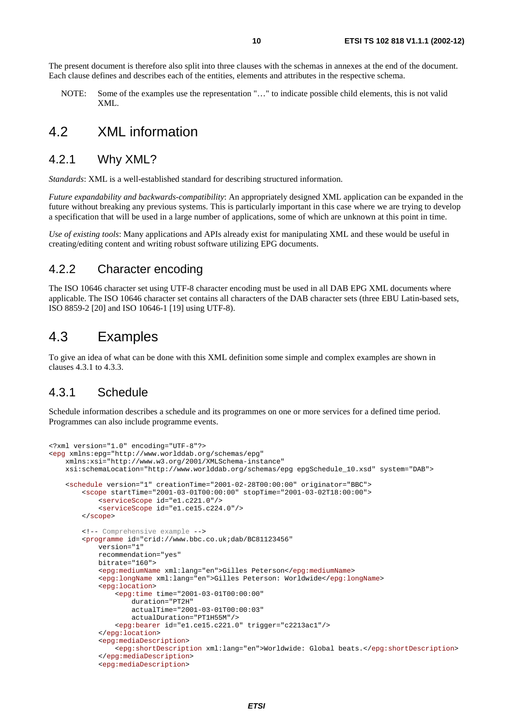The present document is therefore also split into three clauses with the schemas in annexes at the end of the document. Each clause defines and describes each of the entities, elements and attributes in the respective schema.

NOTE: Some of the examples use the representation "…" to indicate possible child elements, this is not valid XML.

### 4.2 XML information

### 4.2.1 Why XML?

*Standards*: XML is a well-established standard for describing structured information.

*Future expandability and backwards-compatibility*: An appropriately designed XML application can be expanded in the future without breaking any previous systems. This is particularly important in this case where we are trying to develop a specification that will be used in a large number of applications, some of which are unknown at this point in time.

*Use of existing tools*: Many applications and APIs already exist for manipulating XML and these would be useful in creating/editing content and writing robust software utilizing EPG documents.

### 4.2.2 Character encoding

The ISO 10646 character set using UTF-8 character encoding must be used in all DAB EPG XML documents where applicable. The ISO 10646 character set contains all characters of the DAB character sets (three EBU Latin-based sets, ISO 8859-2 [20] and ISO 10646-1 [19] using UTF-8).

## 4.3 Examples

To give an idea of what can be done with this XML definition some simple and complex examples are shown in clauses 4.3.1 to 4.3.3.

### 4.3.1 Schedule

Schedule information describes a schedule and its programmes on one or more services for a defined time period. Programmes can also include programme events.

```
<?xml version="1.0" encoding="UTF-8"?> 
<epg xmlns:epg="http://www.worlddab.org/schemas/epg" 
     xmlns:xsi="http://www.w3.org/2001/XMLSchema-instance" 
     xsi:schemaLocation="http://www.worlddab.org/schemas/epg epgSchedule_10.xsd" system="DAB"> 
     <schedule version="1" creationTime="2001-02-28T00:00:00" originator="BBC"> 
         <scope startTime="2001-03-01T00:00:00" stopTime="2001-03-02T18:00:00"> 
             <serviceScope id="e1.c221.0"/> 
             <serviceScope id="e1.ce15.c224.0"/> 
         </scope> 
         <!-- Comprehensive example --> 
         <programme id="crid://www.bbc.co.uk;dab/BC81123456" 
             version="1" 
             recommendation="yes" 
             bitrate="160"> 
             <epg:mediumName xml:lang="en">Gilles Peterson</epg:mediumName> 
             <epg:longName xml:lang="en">Gilles Peterson: Worldwide</epg:longName> 
             <epg:location> 
                  <epg:time time="2001-03-01T00:00:00" 
                      duration="PT2H" 
                      actualTime="2001-03-01T00:00:03" 
                      actualDuration="PT1H55M"/> 
                  <epg:bearer id="e1.ce15.c221.0" trigger="c2213ac1"/> 
              </epg:location> 
              <epg:mediaDescription> 
                  <epg:shortDescription xml:lang="en">Worldwide: Global beats.</epg:shortDescription> 
              </epg:mediaDescription> 
              <epg:mediaDescription>
```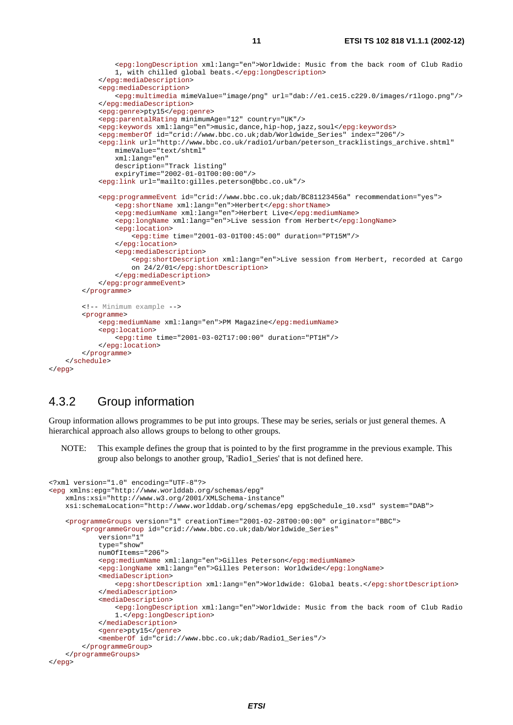```
<epg:longDescription xml:lang="en">Worldwide: Music from the back room of Club Radio 
        1, with chilled global beats.</epg:longDescription> 
     </epg:mediaDescription> 
     <epg:mediaDescription> 
         <epg:multimedia mimeValue="image/png" url="dab://e1.ce15.c229.0/images/r1logo.png"/> 
     </epg:mediaDescription> 
     <epg:genre>pty15</epg:genre> 
     <epg:parentalRating minimumAge="12" country="UK"/> 
     <epg:keywords xml:lang="en">music,dance,hip-hop,jazz,soul</epg:keywords> 
     <epg:memberOf id="crid://www.bbc.co.uk;dab/Worldwide_Series" index="206"/> 
     <epg:link url="http://www.bbc.co.uk/radio1/urban/peterson_tracklistings_archive.shtml" 
         mimeValue="text/shtml" 
         xml:lang="en" 
         description="Track listing" 
         expiryTime="2002-01-01T00:00:00"/> 
     <epg:link url="mailto:gilles.peterson@bbc.co.uk"/> 
     <epg:programmeEvent id="crid://www.bbc.co.uk;dab/BC81123456a" recommendation="yes"> 
         <epg:shortName xml:lang="en">Herbert</epg:shortName> 
         <epg:mediumName xml:lang="en">Herbert Live</epg:mediumName> 
         <epg:longName xml:lang="en">Live session from Herbert</epg:longName> 
         <epg:location> 
             <epg:time time="2001-03-01T00:45:00" duration="PT15M"/> 
         </epg:location> 
         <epg:mediaDescription> 
            <epg:shortDescription xml:lang="en">Live session from Herbert, recorded at Cargo 
            on 24/2/01</epg:shortDescription> 
         </epg:mediaDescription> 
     </epg:programmeEvent> 
 </programme> 
 <!-- Minimum example --> 
 <programme> 
     <epg:mediumName xml:lang="en">PM Magazine</epg:mediumName> 
     <epg:location> 
         <epg:time time="2001-03-02T17:00:00" duration="PT1H"/> 
    </epg:location> 
 </programme>
```

```
4.3.2 Group information
```
</schedule>

</epg>

Group information allows programmes to be put into groups. These may be series, serials or just general themes. A hierarchical approach also allows groups to belong to other groups.

NOTE: This example defines the group that is pointed to by the first programme in the previous example. This group also belongs to another group, 'Radio1\_Series' that is not defined here.

```
<?xml version="1.0" encoding="UTF-8"?> 
<epg xmlns:epg="http://www.worlddab.org/schemas/epg" 
     xmlns:xsi="http://www.w3.org/2001/XMLSchema-instance" 
    xsi:schemaLocation="http://www.worlddab.org/schemas/epg epgSchedule_10.xsd" system="DAB"> 
     <programmeGroups version="1" creationTime="2001-02-28T00:00:00" originator="BBC"> 
         <programmeGroup id="crid://www.bbc.co.uk;dab/Worldwide_Series" 
             version="1" 
             type="show" 
             numOfItems="206"> 
             <epg:mediumName xml:lang="en">Gilles Peterson</epg:mediumName> 
             <epg:longName xml:lang="en">Gilles Peterson: Worldwide</epg:longName> 
             <mediaDescription> 
                 <epg:shortDescription xml:lang="en">Worldwide: Global beats.</epg:shortDescription> 
             </mediaDescription> 
             <mediaDescription> 
                <epg:longDescription xml:lang="en">Worldwide: Music from the back room of Club Radio 
                1.</epg:longDescription> 
             </mediaDescription> 
             <genre>pty15</genre> 
             <memberOf id="crid://www.bbc.co.uk;dab/Radio1_Series"/> 
         </programmeGroup> 
     </programmeGroups> 
</epg>
```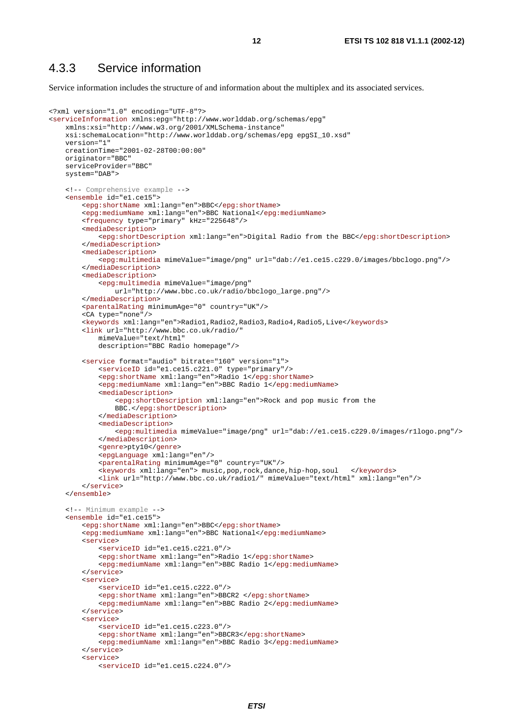### 4.3.3 Service information

Service information includes the structure of and information about the multiplex and its associated services.

```
<?xml version="1.0" encoding="UTF-8"?> 
<serviceInformation xmlns:epg="http://www.worlddab.org/schemas/epg" 
     xmlns:xsi="http://www.w3.org/2001/XMLSchema-instance" 
    xsi:schemaLocation="http://www.worlddab.org/schemas/epg epgSI_10.xsd" 
     version="1" 
     creationTime="2001-02-28T00:00:00" 
     originator="BBC" 
     serviceProvider="BBC" 
     system="DAB"> 
     <!-- Comprehensive example --> 
     <ensemble id="e1.ce15"> 
         <epg:shortName xml:lang="en">BBC</epg:shortName> 
         <epg:mediumName xml:lang="en">BBC National</epg:mediumName> 
         <frequency type="primary" kHz="225648"/> 
         <mediaDescription> 
             <epg:shortDescription xml:lang="en">Digital Radio from the BBC</epg:shortDescription> 
         </mediaDescription> 
         <mediaDescription> 
             <epg:multimedia mimeValue="image/png" url="dab://e1.ce15.c229.0/images/bbclogo.png"/> 
         </mediaDescription> 
         <mediaDescription> 
             <epg:multimedia mimeValue="image/png" 
                  url="http://www.bbc.co.uk/radio/bbclogo_large.png"/> 
         </mediaDescription> 
         <parentalRating minimumAge="0" country="UK"/> 
         <CA type="none"/> 
         <keywords xml:lang="en">Radio1,Radio2,Radio3,Radio4,Radio5,Live</keywords> 
         <link url="http://www.bbc.co.uk/radio/" 
             mimeValue="text/html" 
             description="BBC Radio homepage"/> 
         <service format="audio" bitrate="160" version="1"> 
             <serviceID id="e1.ce15.c221.0" type="primary"/> 
             <epg:shortName xml:lang="en">Radio 1</epg:shortName> 
             <epg:mediumName xml:lang="en">BBC Radio 1</epg:mediumName> 
             <mediaDescription> 
                 <epg:shortDescription xml:lang="en">Rock and pop music from the 
                 BBC.</epg:shortDescription> 
             </mediaDescription> 
             <mediaDescription> 
                  <epg:multimedia mimeValue="image/png" url="dab://e1.ce15.c229.0/images/r1logo.png"/> 
             </mediaDescription> 
             <genre>pty10</genre> 
             <epgLanguage xml:lang="en"/> 
             <parentalRating minimumAge="0" country="UK"/> 
             <keywords xml:lang="en"> music,pop,rock,dance,hip-hop,soul </keywords> 
             <link url="http://www.bbc.co.uk/radio1/" mimeValue="text/html" xml:lang="en"/> 
         </service> 
     </ensemble> 
     <!-- Minimum example --> 
     <ensemble id="e1.ce15"> 
         <epg:shortName xml:lang="en">BBC</epg:shortName> 
         <epg:mediumName xml:lang="en">BBC National</epg:mediumName> 
         <service> 
             <serviceID id="e1.ce15.c221.0"/> 
             <epg:shortName xml:lang="en">Radio 1</epg:shortName> 
             <epg:mediumName xml:lang="en">BBC Radio 1</epg:mediumName> 
         </service> 
         <service> 
             <serviceID id="e1.ce15.c222.0"/> 
             <epg:shortName xml:lang="en">BBCR2 </epg:shortName> 
             <epg:mediumName xml:lang="en">BBC Radio 2</epg:mediumName> 
         </service> 
         <service> 
             <serviceID id="e1.ce15.c223.0"/> 
             <epg:shortName xml:lang="en">BBCR3</epg:shortName> 
             <epg:mediumName xml:lang="en">BBC Radio 3</epg:mediumName> 
         </service> 
         <service> 
             <serviceID id="e1.ce15.c224.0"/>
```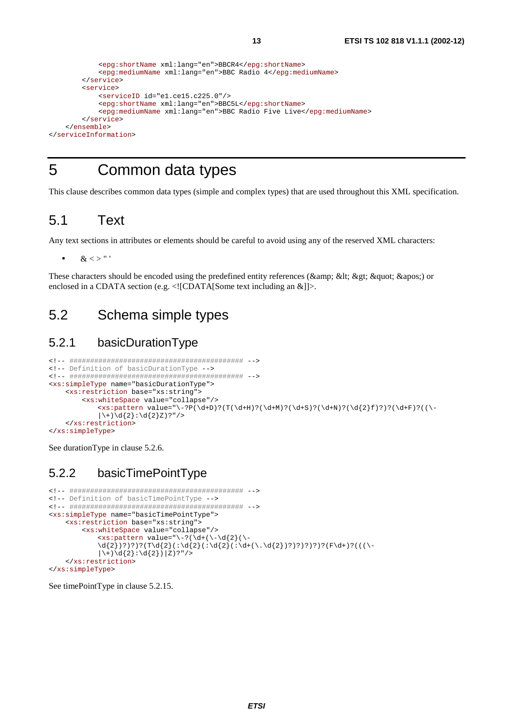```
 <epg:shortName xml:lang="en">BBCR4</epg:shortName> 
             <epg:mediumName xml:lang="en">BBC Radio 4</epg:mediumName> 
         </service> 
         <service> 
             <serviceID id="e1.ce15.c225.0"/> 
             <epg:shortName xml:lang="en">BBC5L</epg:shortName> 
             <epg:mediumName xml:lang="en">BBC Radio Five Live</epg:mediumName> 
         </service> 
     </ensemble> 
</serviceInformation>
```
## 5 Common data types

This clause describes common data types (simple and complex types) that are used throughout this XML specification.

### 5.1 Text

Any text sections in attributes or elements should be careful to avoid using any of the reserved XML characters:

 $<$  > " '

These characters should be encoded using the predefined entity references (& < &gt; &quot; &apos;) or enclosed in a CDATA section (e.g.  $\langle$ ![CDATA[Some text including an &]]>.

## 5.2 Schema simple types

### 5.2.1 basicDurationType

```
<!-- ########################################## --> 
<!-- Definition of basicDurationType --> 
<!-- ########################################## --> 
<xs:simpleType name="basicDurationType"> 
     <xs:restriction base="xs:string"> 
          <xs:whiteSpace value="collapse"/> 
             \alpha -xs:pattern value="\-?P(\d+D)?(T(\d+H)?(\d+M)?(\d+S)?(\d+N)?(\d{2}f)?)?(\d+F)?((\-
             |\ \rangle + \rangle \{2\} : \{2\} Z ? "/>
     </xs:restriction> 
</xs:simpleType>
```
See durationType in clause 5.2.6.

### 5.2.2 basicTimePointType

```
<!-- ########################################## --> 
<!-- Definition of basicTimePointType --> 
<!-- ########################################## --> 
<xs:simpleType name="basicTimePointType"> 
     <xs:restriction base="xs:string"> 
          <xs:whiteSpace value="collapse"/> 
             \langle xs : pattern value = "\neg(\d+(\neg\neg d{2})(\neg\neg d{2})\d{2})?)?)?(T\d{2}(:\d{2}(:\d{2}(:\d+(\.\d{2})?)?)?)?(F\d+)?(((\-
             |\n\iota| + \d{2} : d{2} |Z ) |Z ?" />
     </xs:restriction> 
</xs:simpleType>
```
See timePointType in clause 5.2.15.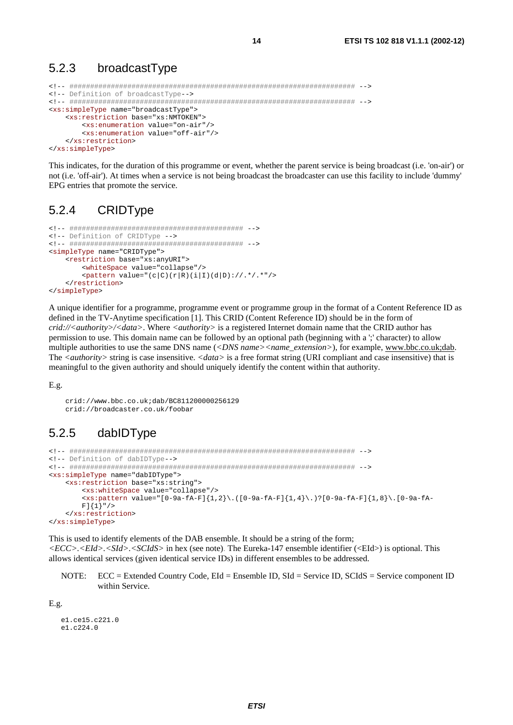#### $5.2.3$ broadcastType

```
<!-- Definition of broadcastType -- >
<xs:simpleType name="broadcastType">
  <xs:restriction base="xs:NMTOKEN">
    <xs:enumeration value="on-air"/>
    <xs:enumeration value="off-air"/>
  </xs:restriction>
</xs:simpleType>
```
This indicates, for the duration of this programme or event, whether the parent service is being broadcast (i.e. 'on-air') or not (i.e. 'off-air'). At times when a service is not being broadcast the broadcaster can use this facility to include 'dummy' EPG entries that promote the service.

#### $5.2.4$ CRIDType

```
<!-- Definition of CRIDType -->
<simpleType name="CRIDType">
  <restriction base="xs:anyURI">
     <whiteSpace value="collapse"/>
     <pattern value="(c|C)(r|R)(i|I)(d|D)://.*/.*"/>
  </restriction>
</simpleType>
```
A unique identifier for a programme, programme event or programme group in the format of a Content Reference ID as defined in the TV-Anytime specification [1]. This CRID (Content Reference ID) should be in the form of crid://<authority>/<data>. Where <authority> is a registered Internet domain name that the CRID author has permission to use. This domain name can be followed by an optional path (beginning with a ';' character) to allow multiple authorities to use the same DNS name (<*DNS name>*<*name extension>*), for example, www.bbc.co.uk;dab. The  $\langle \text{authority} \rangle$  string is case insensitive.  $\langle \text{data} \rangle$  is a free format string (URI compliant and case insensitive) that is meaningful to the given authority and should uniquely identify the content within that authority.

 $E.g.$ 

```
crid://www.bbc.co.uk:dab/BC811200000256129crid://broadcaster.co.uk/foobar
```
#### 5.2.5 dabIDType

```
<!-- Definition of dabIDType-->
<xs:simpleType name="dabIDType">
  <xs:restriction base="xs:string">
     <xs:whiteSpace value="collapse"/>
     \{xs: pattern value = [[0-9a-fA-F][1,2]\}.([0-9a-fA-F][1,4]\). [0-9a-fA-F]\{1,8\}.[0-9a-fA-F][1,8]\}.F] {1}"/>
  </xs:restriction>
</xs:simpleType>
```
This is used to identify elements of the DAB ensemble. It should be a string of the form;  $\langle ECC \rangle$ .  $\langle EId \rangle$ .  $\langle SId \rangle$ .  $\langle SCdS \rangle$  in hex (see note). The Eureka-147 ensemble identifier ( $\langle EId \rangle$ ) is optional. This allows identical services (given identical service IDs) in different ensembles to be addressed.

 $NOTE:$  $ECC =$  Extended Country Code, EId = Ensemble ID, SId = Service ID, SCIdS = Service component ID within Service.

 $E.g.$ 

```
-1 C = 15 C = 221 0
e1.c224.0
```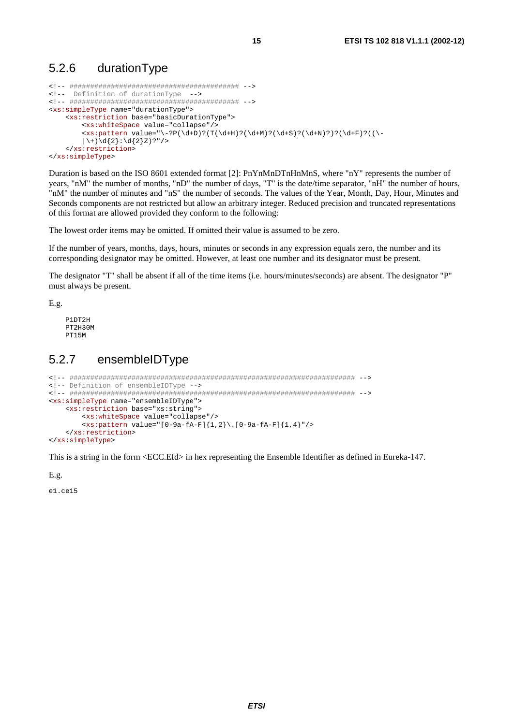### 5.2.6 durationType

```
<!-- ######################################### --> 
<!-- Definition of durationType --> 
<!-- ######################################### --> 
<xs:simpleType name="durationType"> 
     <xs:restriction base="basicDurationType"> 
          <xs:whiteSpace value="collapse"/> 
         \langle x s : pattern \ value = "\ -?P(\d+D)?(T(\d+H)?(\d+M)?(\d+S)?(\d+M)??(\d+F)?(|\setminus + \rangle \backslash d\{2\} : \setminus d\{2\}Z)?"/>
     </xs:restriction> 
</xs:simpleType>
```
Duration is based on the ISO 8601 extended format [2]: PnYnMnDTnHnMnS, where "nY" represents the number of years, "nM" the number of months, "nD" the number of days, "T" is the date/time separator, "nH" the number of hours, "nM" the number of minutes and "nS" the number of seconds. The values of the Year, Month, Day, Hour, Minutes and Seconds components are not restricted but allow an arbitrary integer. Reduced precision and truncated representations of this format are allowed provided they conform to the following:

The lowest order items may be omitted. If omitted their value is assumed to be zero.

If the number of years, months, days, hours, minutes or seconds in any expression equals zero, the number and its corresponding designator may be omitted. However, at least one number and its designator must be present.

The designator "T" shall be absent if all of the time items (i.e. hours/minutes/seconds) are absent. The designator "P" must always be present.

E.g.

 P1DT2H PT2H30M PT15M

### 5.2.7 ensembleIDType

```
<!-- ##################################################################### --> 
<!-- Definition of ensembleIDType --> 
<!-- ##################################################################### --> 
<xs:simpleType name="ensembleIDType"> 
     <xs:restriction base="xs:string"> 
         <xs:whiteSpace value="collapse"/> 
         <xs:pattern value="[0-9a-fA-F]{1,2}\.[0-9a-fA-F]{1,4}"/> 
     </xs:restriction> 
</xs:simpleType>
```
This is a string in the form <ECC.EId> in hex representing the Ensemble Identifier as defined in Eureka-147.

E.g.

e1.ce15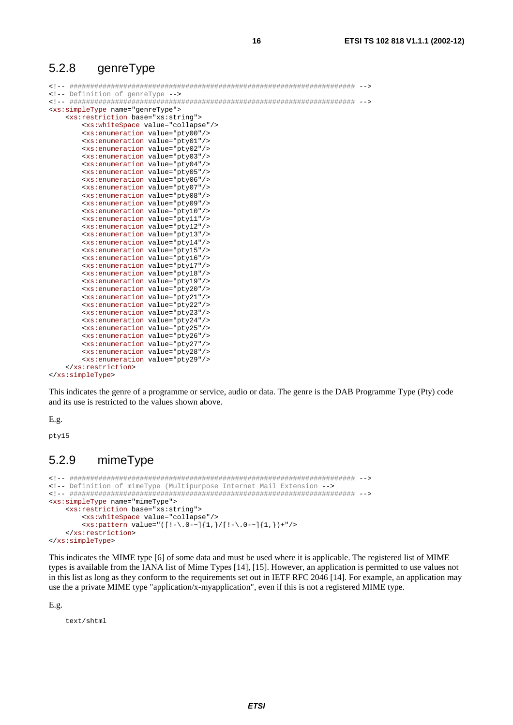### 5.2.8 genreType

```
<!-- ##################################################################### --> 
<!-- Definition of genreType --> 
<!-- ##################################################################### --> 
<xs:simpleType name="genreType"> 
    <xs:restriction base="xs:string"> 
        <xs:whiteSpace value="collapse"/> 
        <xs:enumeration value="pty00"/> 
        <xs:enumeration value="pty01"/> 
        <xs:enumeration value="pty02"/> 
        <xs:enumeration value="pty03"/> 
        <xs:enumeration value="pty04"/> 
        <xs:enumeration value="pty05"/> 
        <xs:enumeration value="pty06"/> 
        <xs:enumeration value="pty07"/> 
        <xs:enumeration value="pty08"/> 
        <xs:enumeration value="pty09"/> 
        <xs:enumeration value="pty10"/> 
        <xs:enumeration value="pty11"/> 
        <xs:enumeration value="pty12"/> 
        <xs:enumeration value="pty13"/> 
        <xs:enumeration value="pty14"/> 
        <xs:enumeration value="pty15"/> 
        <xs:enumeration value="pty16"/> 
        <xs:enumeration value="pty17"/> 
        <xs:enumeration value="pty18"/> 
        <xs:enumeration value="pty19"/> 
        <xs:enumeration value="pty20"/> 
        <xs:enumeration value="pty21"/> 
        <xs:enumeration value="pty22"/> 
        <xs:enumeration value="pty23"/> 
        <xs:enumeration value="pty24"/> 
        <xs:enumeration value="pty25"/> 
        <xs:enumeration value="pty26"/> 
        <xs:enumeration value="pty27"/> 
        <xs:enumeration value="pty28"/> 
        <xs:enumeration value="pty29"/> 
    </xs:restriction> 
</xs:simpleType>
```
This indicates the genre of a programme or service, audio or data. The genre is the DAB Programme Type (Pty) code and its use is restricted to the values shown above.

E.g.

pty15

### 5.2.9 mimeType

```
<!-- ##################################################################### --> 
<!-- Definition of mimeType (Multipurpose Internet Mail Extension --> 
<!-- ##################################################################### --> 
<xs:simpleType name="mimeType"> 
     <xs:restriction base="xs:string"> 
          <xs:whiteSpace value="collapse"/> 
         \overline{\text{xs:pattern value}} = "([!-\ \,0- \ ]\{1,\} / [!-\ \,0- \ ]\{1,\} ) + " \rightarrow </xs:restriction> 
</xs:simpleType>
```
This indicates the MIME type [6] of some data and must be used where it is applicable. The registered list of MIME types is available from the IANA list of Mime Types [14], [15]. However, an application is permitted to use values not in this list as long as they conform to the requirements set out in IETF RFC 2046 [14]. For example, an application may use the a private MIME type "application/x-myapplication", even if this is not a registered MIME type.

E.g.

text/shtml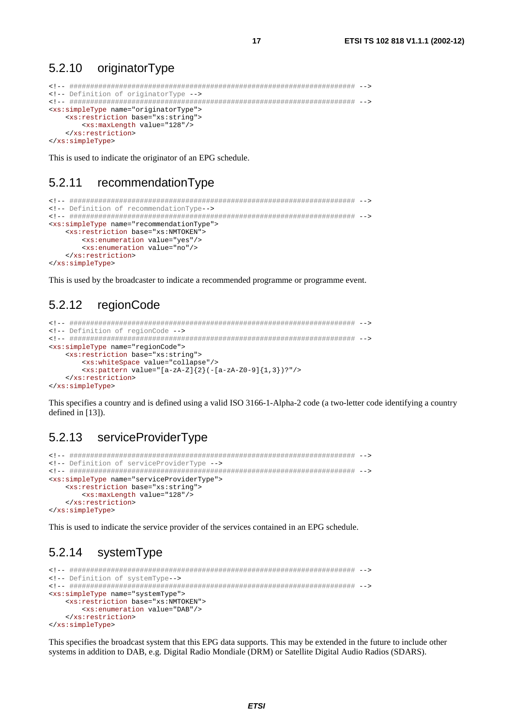#### 5.2.10 originatorType

```
<!-- Definition of originatorType -->
<xs:simpleType name="originatorType">
  <xs:restriction base="xs:string">
   <xs:maxLength value="128"/>
  </xs:restriction>
</xs:simpleType>
```
 $17$ 

This is used to indicate the originator of an EPG schedule.

#### $5.2.11$ recommendationType

```
<!-- Definition of recommendationType-->
<xs:simpleType name="recommendationType">
  <xs:restriction base="xs:NMTOKEN">
    <xs:enumeration value="yes"/>
    <xs:enumeration value="no"/>
  </xs:restriction>
</xs:simpleType>
```
This is used by the broadcaster to indicate a recommended programme or programme event.

#### 5.2.12 regionCode

```
<!-- Definition of regionCode -->
<xs:simpleType name="regionCode">
  <xs:restriction base="xs:string">
    <xs:whiteSpace value="collapse"/>
    \{xs:pattern value="[a-zA-Z]\{2\}(-[a-zA-Z0-9]\{1,3\})?"/>
  </xs:restriction>
</xs:simpleType>
```
This specifies a country and is defined using a valid ISO 3166-1-Alpha-2 code (a two-letter code identifying a country defined in [13]).

#### 5.2.13 serviceProviderType

```
<!-- Definition of serviceProviderType -->
<xs:simpleType name="serviceProviderType">
  <xs:restriction base="xs:string">
    <xs:maxLength value="128"/>
  </xs:restriction>
</xs:simpleType>
```
This is used to indicate the service provider of the services contained in an EPG schedule.

#### 5.2.14 systemType

```
<!-- Definition of systemType-->
<xs:simpleType name="systemType">
  <xs:restriction base="xs:NMTOKEN">
    <xs:enumeration value="DAB"/>
  </xs:restriction>
</xs:simpleType>
```
This specifies the broadcast system that this EPG data supports. This may be extended in the future to include other systems in addition to DAB, e.g. Digital Radio Mondiale (DRM) or Satellite Digital Audio Radios (SDARS).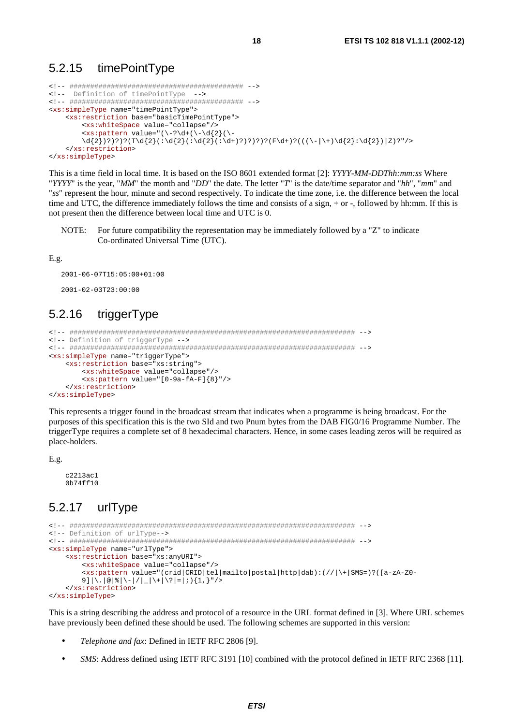### 5.2.15 timePointType

```
<!-- ########################################## --> 
<!-- Definition of timePointType --> 
<!-- ########################################## --> 
<xs:simpleType name="timePointType"> 
     <xs:restriction base="basicTimePointType"> 
         <xs:whiteSpace value="collapse"/> 
        \langle x s : pattern value = "(\{-? \d+ (\d+ \d+2) (\d+\d{2})?)?)?(T\d{2}(:\d{2}(:\d{2}(:\d+)?)?)?)?(F\d+)?(((\-|\+)\d{2}:\d{2})|Z)?"/>
     </xs:restriction> 
</xs:simpleType>
```
This is a time field in local time. It is based on the ISO 8601 extended format [2]: *YYYY-MM-DDThh:mm:ss* Where "*YYYY*" is the year, "*MM*" the month and "*DD*" the date. The letter "*T*" is the date/time separator and "*hh*", "*mm*" and "*ss*" represent the hour, minute and second respectively. To indicate the time zone, i.e. the difference between the local time and UTC, the difference immediately follows the time and consists of a sign, + or -, followed by hh:mm. If this is not present then the difference between local time and UTC is 0.

NOTE: For future compatibility the representation may be immediately followed by a "Z" to indicate Co-ordinated Universal Time (UTC).

E.g.

```
2001-06-07T15:05:00+01:00 
2001-02-03T23:00:00
```
### 5.2.16 triggerType

```
<!-- ##################################################################### --> 
<!-- Definition of triggerType --> 
<!-- ##################################################################### --> 
<xs:simpleType name="triggerType"> 
     <xs:restriction base="xs:string"> 
         <xs:whiteSpace value="collapse"/> 
         <xs:pattern value="[0-9a-fA-F]{8}"/> 
     </xs:restriction> 
</xs:simpleType>
```
This represents a trigger found in the broadcast stream that indicates when a programme is being broadcast. For the purposes of this specification this is the two SId and two Pnum bytes from the DAB FIG0/16 Programme Number. The triggerType requires a complete set of 8 hexadecimal characters. Hence, in some cases leading zeros will be required as place-holders.

E.g.

```
 c2213ac1 
 0b74ff10
```
### 5.2.17 urlType

```
<!-- ##################################################################### --> 
<!-- Definition of urlType--> 
<!-- ##################################################################### --> 
<xs:simpleType name="urlType"> 
     <xs:restriction base="xs:anyURI"> 
         <xs:whiteSpace value="collapse"/> 
        <xs:pattern value="(crid|CRID|tel|mailto|postal|http|dab):(//|\+|SMS=)?([a-zA-Z0-
        9]|\.|@|\|\-|/|_|\+|\?|=|;){1,}"/>
     </xs:restriction> 
</xs:simpleType>
```
This is a string describing the address and protocol of a resource in the URL format defined in [3]. Where URL schemes have previously been defined these should be used. The following schemes are supported in this version:

- *Telephone and fax*: Defined in IETF RFC 2806 [9].
- *SMS*: Address defined using IETF RFC 3191 [10] combined with the protocol defined in IETF RFC 2368 [11].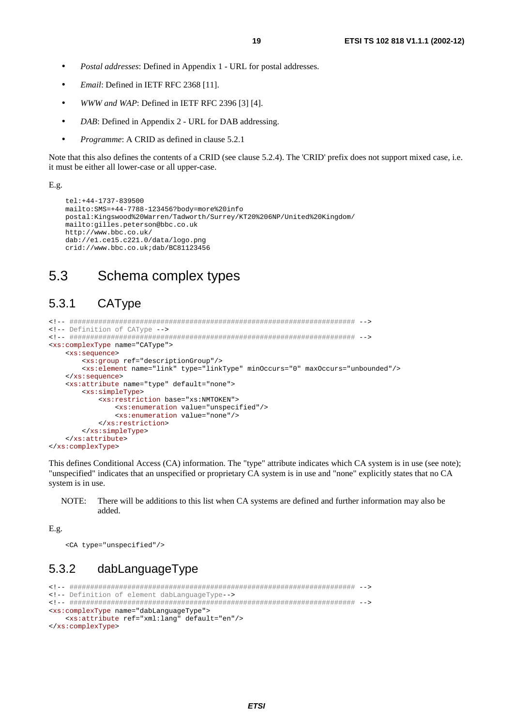- Postal addresses: Defined in Appendix 1 URL for postal addresses.
- Email: Defined in IETF RFC 2368 [11].
- WWW and WAP: Defined in IETF RFC 2396 [3] [4].  $\bullet$
- DAB: Defined in Appendix 2 URL for DAB addressing.  $\bullet$
- *Programme:* A CRID as defined in clause 5.2.1  $\bullet$

Note that this also defines the contents of a CRID (see clause 5.2.4). The 'CRID' prefix does not support mixed case, i.e. it must be either all lower-case or all upper-case.

#### $E.g.$

```
tel: +44-1737-839500
mailto: SMS=+44-7788-123456?body=more%20info
postal:Kingswood%20Warren/Tadworth/Surrey/KT20%206NP/United%20Kingdom/
mailto:gilles.peterson@bbc.co.uk
http://www.bbc.co.uk/
dab://el.ce15.c221.0/data/logo.png
crid://www.bbc.co.uk;dab/BC81123456
```
#### $5.3$ Schema complex types

#### $5.3.1$ CAType

```
<!-- Definition of CAType -->
<xs:complexType name="CAType">
   \overline{\text{xs:sequence}}<xs: qroup ref="descriptionGroup"/>
      <xs:element name="link" type="linkType" minOccurs="0" maxOccurs="unbounded"/>
   </xs:sequence>
   <xs:attribute name="type" default="none">
      <xs:simpleType>
         <xs:restriction base="xs:NMTOKEN">
            <xs:enumeration value="unspecified"/>
            <xs:enumeration value="none"/>
         </xs:restriction>
      </xs:simpleType>
   </xs:attribute>
</xs:complexType>
```
This defines Conditional Access (CA) information. The "type" attribute indicates which CA system is in use (see note); "unspecified" indicates that an unspecified or proprietary CA system is in use and "none" explicitly states that no CA system is in use.

NOTE: There will be additions to this list when CA systems are defined and further information may also be added.

#### $E.g.$

<CA type="unspecified"/>

#### 5.3.2 dabLanguageType

```
<!-- Definition of element dabLanguageType-->
<xs:complexType name="dabLanguageType">
 <xs:attribute ref="xml:lang" default="en"/>
</xs:complexType>
```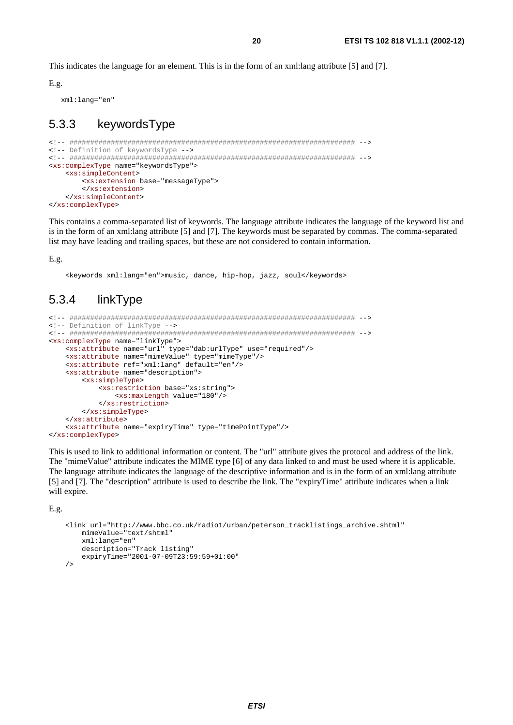This indicates the language for an element. This is in the form of an xml: lang attribute [5] and [7].

 $E.g.$ 

xml:lang="en"

#### 5.3.3 keywordsType

```
<!-- Definition of keywordsType -->
<xs:complexType name="keywordsType">
  <xs:simpleContent>
    <xs:extension base="messageType">
    </xs:extension>
  \epsilon/ye: gimpleContent>
</xs:complexType>
```
This contains a comma-separated list of keywords. The language attribute indicates the language of the keyword list and is in the form of an xml: lang attribute [5] and [7]. The keywords must be separated by commas. The comma-separated list may have leading and trailing spaces, but these are not considered to contain information.

20

#### E.g.

<keywords xml:lang="en">music, dance, hip-hop, jazz, soul</keywords>

#### 534 linkTvpe

```
<!-- Definition of linkType -->
<xs:complexType name="linkType">
  <xs:attribute name="url" type="dab:urlType" use="required"/>
   <xs:attribute name="mimeValue" type="mimeType"/>
   <xs:attribute ref="xml:lang" default="en"/>
  <xs:attribute name="description">
      <xs:simpleType>
        <xs:restriction base="xs:string">
            <xs:maxLength value="180"/>
        </xs:restriction>
      </xs:simpleType>
  </xs:attribute>
  <xs:attribute name="expiryTime" type="timePointType"/>
</xs:complexType>
```
This is used to link to additional information or content. The "url" attribute gives the protocol and address of the link. The "mimeValue" attribute indicates the MIME type [6] of any data linked to and must be used where it is applicable. The language attribute indicates the language of the descriptive information and is in the form of an xml: lang attribute [5] and [7]. The "description" attribute is used to describe the link. The "expiryTime" attribute indicates when a link will expire.

 $E.g.$ 

```
<link url="http://www.bbc.co.uk/radiol/urban/peterson tracklistings archive.shtml"
    mimeValue="text/shtml"
    xml: lang="en"
    description="Track listing"
    expiryTime="2001-07-09T23:59:59+01:00"
\sqrt{2}
```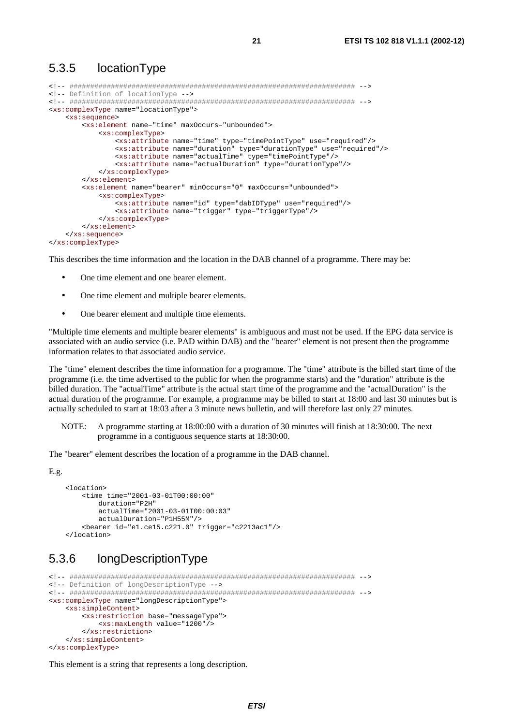### 5.3.5 locationType

```
<!-- ##################################################################### --> 
<!-- Definition of locationType --> 
<!-- ##################################################################### --> 
<xs:complexType name="locationType"> 
     <xs:sequence> 
         <xs:element name="time" maxOccurs="unbounded"> 
             <xs:complexType> 
                 <xs:attribute name="time" type="timePointType" use="required"/> 
                 <xs:attribute name="duration" type="durationType" use="required"/> 
                  <xs:attribute name="actualTime" type="timePointType"/> 
                 <xs:attribute name="actualDuration" type="durationType"/> 
             </xs:complexType> 
         </xs:element> 
         <xs:element name="bearer" minOccurs="0" maxOccurs="unbounded"> 
             <xs:complexType> 
                 <xs:attribute name="id" type="dabIDType" use="required"/> 
                 <xs:attribute name="trigger" type="triggerType"/> 
             </xs:complexType> 
         </xs:element> 
     </xs:sequence> 
</xs:complexType>
```
This describes the time information and the location in the DAB channel of a programme. There may be:

- One time element and one bearer element.
- One time element and multiple bearer elements.
- One bearer element and multiple time elements.

"Multiple time elements and multiple bearer elements" is ambiguous and must not be used. If the EPG data service is associated with an audio service (i.e. PAD within DAB) and the "bearer" element is not present then the programme information relates to that associated audio service.

The "time" element describes the time information for a programme. The "time" attribute is the billed start time of the programme (i.e. the time advertised to the public for when the programme starts) and the "duration" attribute is the billed duration. The "actualTime" attribute is the actual start time of the programme and the "actualDuration" is the actual duration of the programme. For example, a programme may be billed to start at 18:00 and last 30 minutes but is actually scheduled to start at 18:03 after a 3 minute news bulletin, and will therefore last only 27 minutes.

NOTE: A programme starting at 18:00:00 with a duration of 30 minutes will finish at 18:30:00. The next programme in a contiguous sequence starts at 18:30:00.

The "bearer" element describes the location of a programme in the DAB channel.

E.g.

```
 <location> 
     <time time="2001-03-01T00:00:00" 
         duration="P2H" 
         actualTime="2001-03-01T00:00:03" 
         actualDuration="P1H55M"/> 
     <bearer id="e1.ce15.c221.0" trigger="c2213ac1"/> 
 </location>
```
### 5.3.6 longDescriptionType

```
<!-- ##################################################################### --> 
<!-- Definition of longDescriptionType --> 
<!-- ##################################################################### --> 
<xs:complexType name="longDescriptionType"> 
     <xs:simpleContent> 
        <xs:restriction base="messageType"> 
             <xs:maxLength value="1200"/> 
         </xs:restriction> 
     </xs:simpleContent> 
</xs:complexType>
```
This element is a string that represents a long description.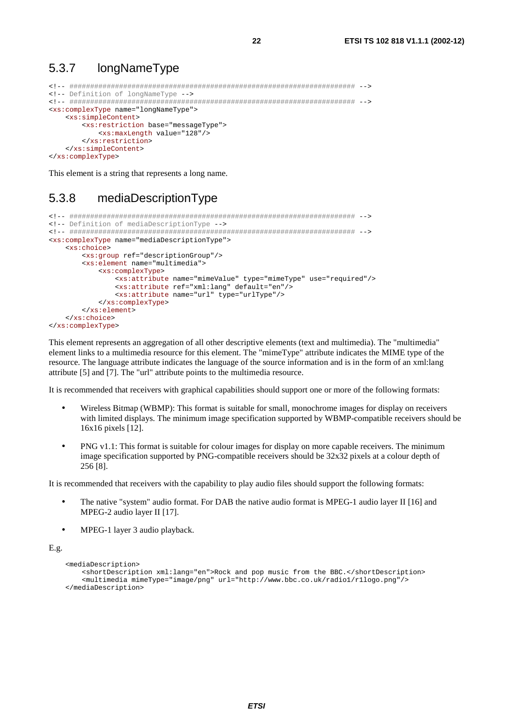#### 5.3.7 longNameType

```
<!-- Definition of longNameType -->
<xs:complexType name="longNameType">
  <xs:simpleContent>
    <xs:restriction base="messageType">
      <xs:maxLength value="128"/>
    </xs:restriction>
  </xs:simpleContent>
</xs:complexType>
```
22

This element is a string that represents a long name.

#### 5.3.8 mediaDescriptionType

```
<!-- Definition of mediaDescriptionType -->
<xs:complexType name="mediaDescriptionType">
  <xs:choice>
      <xs:group ref="descriptionGroup"/>
      <xs:element name="multimedia">
        <xs:complexType>
           <xs:attribute name="mimeValue" type="mimeType" use="required"/>
           <xs:attribute ref="xml:lang" default="en"/>
           <xs:attribute name="url" type="urlType"/>
        </xs:complexType>
     \epsilon/xs:element>
  \frac{1}{2}</xs:complexType>
```
This element represents an aggregation of all other descriptive elements (text and multimedia). The "multimedia" element links to a multimedia resource for this element. The "mimeType" attribute indicates the MIME type of the resource. The language attribute indicates the language of the source information and is in the form of an xml:lang attribute [5] and [7]. The "url" attribute points to the multimedia resource.

It is recommended that receivers with graphical capabilities should support one or more of the following formats:

- Wireless Bitmap (WBMP): This format is suitable for small, monochrome images for display on receivers with limited displays. The minimum image specification supported by WBMP-compatible receivers should be 16x16 pixels [12].
- PNG v1.1: This format is suitable for colour images for display on more capable receivers. The minimum  $\bullet$ image specification supported by PNG-compatible receivers should be 32x32 pixels at a colour depth of 256 [8].

It is recommended that receivers with the capability to play audio files should support the following formats:

- The native "system" audio format. For DAB the native audio format is MPEG-1 audio layer II [16] and MPEG-2 audio layer II [17].
- MPEG-1 layer 3 audio playback.

#### $E.g.$

```
<mediaDescription>
   <shortDescription xml:lang="en">Rock and pop music from the BBC.</shortDescription>
    <multimedia mimeType="image/png" url="http://www.bbc.co.uk/radio1/r1logo.png"/>
</mediaDescription>
```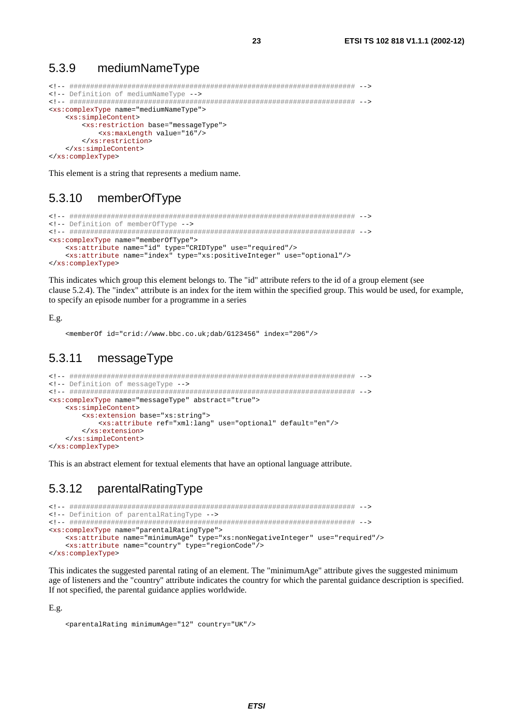#### 5.3.9 mediumNameType

```
<!-- Definition of mediumNameType -->
<xs:complexType name="mediumNameType">
  <xs:simpleContent>
    <xs:restriction base="messageType">
      <xs:maxLength value="16"/>
    </xs:restriction>
  </xs:simpleContent>
</xs:complexType>
```
This element is a string that represents a medium name.

#### memberOfType 5.3.10

```
<!-- Definition of memberOfType -->
<xs:complexType name="memberOfType">
  <xs:attribute name="id" type="CRIDType" use="required"/>
  <xs:attribute name="index" type="xs:positiveInteger" use="optional"/>
</xs:complexType>
```
This indicates which group this element belongs to. The "id" attribute refers to the id of a group element (see clause 5.2.4). The "index" attribute is an index for the item within the specified group. This would be used, for example, to specify an episode number for a programme in a series

#### $E.g.$

<memberOf id="crid://www.bbc.co.uk;dab/G123456" index="206"/>

#### messageType 5.3.11

```
<!-- Definition of messageType -->
<xs:complexType name="messageType" abstract="true">
  <xs:simpleContent>
    <xs:extension base="xs:string">
       <xs:attribute ref="xml:lang" use="optional" default="en"/>
    \frac{2}{x}</xs:simpleContent>
</xs:complexType>
```
This is an abstract element for textual elements that have an optional language attribute.

#### 5.3.12 parentalRatingType

```
<!-- Definition of parentalRatingType -->
<xs:complexType name="parentalRatingType">
  <xs:attribute name="minimumAge" type="xs:nonNegativeInteger" use="required"/>
  <xs:attribute name="country" type="regionCode"/>
</xs:complexType>
```
This indicates the suggested parental rating of an element. The "minimumAge" attribute gives the suggested minimum age of listeners and the "country" attribute indicates the country for which the parental guidance description is specified. If not specified, the parental guidance applies worldwide.

 $E.g.$ 

```
<parentalRating minimumAge="12" country="IIK"/>
```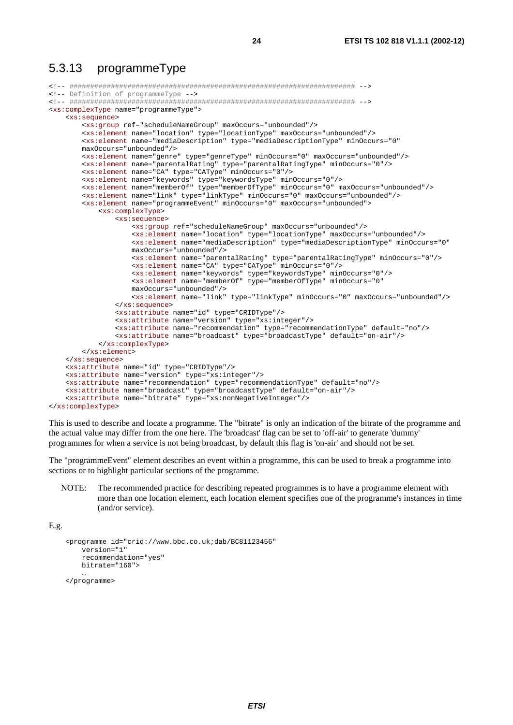### 5.3.13 programmeType

```
<!-- ##################################################################### --> 
<!-- Definition of programmeType --> 
<!-- ##################################################################### --> 
<xs:complexType name="programmeType"> 
     <xs:sequence> 
         <xs:group ref="scheduleNameGroup" maxOccurs="unbounded"/> 
         <xs:element name="location" type="locationType" maxOccurs="unbounded"/> 
        <xs:element name="mediaDescription" type="mediaDescriptionType" minOccurs="0" 
       maxOccurs="unbounded"/> 
         <xs:element name="genre" type="genreType" minOccurs="0" maxOccurs="unbounded"/> 
         <xs:element name="parentalRating" type="parentalRatingType" minOccurs="0"/> 
         <xs:element name="CA" type="CAType" minOccurs="0"/> 
 <xs:element name="keywords" type="keywordsType" minOccurs="0"/> 
 <xs:element name="memberOf" type="memberOfType" minOccurs="0" maxOccurs="unbounded"/> 
         <xs:element name="link" type="linkType" minOccurs="0" maxOccurs="unbounded"/> 
         <xs:element name="programmeEvent" minOccurs="0" maxOccurs="unbounded"> 
             <xs:complexType> 
                 <xs:sequence> 
 <xs:group ref="scheduleNameGroup" maxOccurs="unbounded"/> 
 <xs:element name="location" type="locationType" maxOccurs="unbounded"/> 
                    <xs:element name="mediaDescription" type="mediaDescriptionType" minOccurs="0" 
                    maxOccurs="unbounded"/> 
                     <xs:element name="parentalRating" type="parentalRatingType" minOccurs="0"/> 
                     <xs:element name="CA" type="CAType" minOccurs="0"/> 
                     <xs:element name="keywords" type="keywordsType" minOccurs="0"/> 
                    <xs:element name="memberOf" type="memberOfType" minOccurs="0" 
                    maxOccurs="unbounded"/> 
                    <xs:element name="link" type="linkType" minOccurs="0" maxOccurs="unbounded"/> 
                 </xs:sequence> 
                 <xs:attribute name="id" type="CRIDType"/> 
                 <xs:attribute name="version" type="xs:integer"/> 
                 <xs:attribute name="recommendation" type="recommendationType" default="no"/> 
                 <xs:attribute name="broadcast" type="broadcastType" default="on-air"/> 
             </xs:complexType> 
         </xs:element> 
    </xs:sequence> 
     <xs:attribute name="id" type="CRIDType"/> 
    <xs:attribute name="version" type="xs:integer"/> 
    <xs:attribute name="recommendation" type="recommendationType" default="no"/> 
     <xs:attribute name="broadcast" type="broadcastType" default="on-air"/> 
     <xs:attribute name="bitrate" type="xs:nonNegativeInteger"/>
```

```
</xs:complexType>
```
This is used to describe and locate a programme. The "bitrate" is only an indication of the bitrate of the programme and the actual value may differ from the one here. The 'broadcast' flag can be set to 'off-air' to generate 'dummy' programmes for when a service is not being broadcast, by default this flag is 'on-air' and should not be set.

The "programmeEvent" element describes an event within a programme, this can be used to break a programme into sections or to highlight particular sections of the programme.

NOTE: The recommended practice for describing repeated programmes is to have a programme element with more than one location element, each location element specifies one of the programme's instances in time (and/or service).

E.g.

```
 <programme id="crid://www.bbc.co.uk;dab/BC81123456" 
        version="1" 
         recommendation="yes" 
        bitrate="160"> 
 …
```
</programme>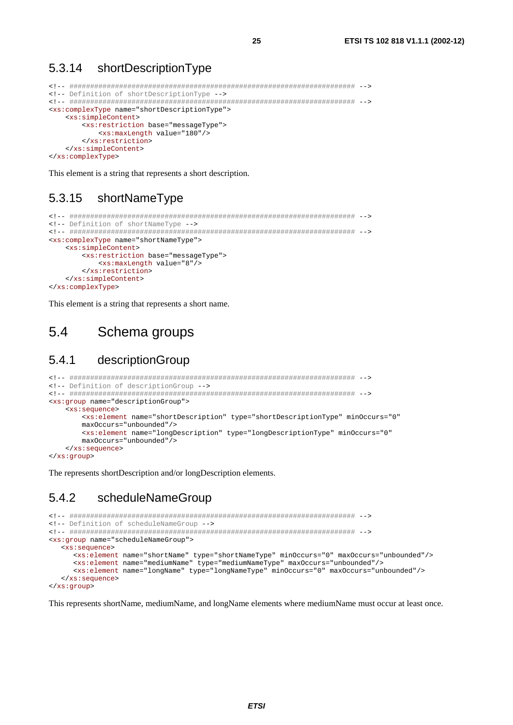#### 5.3.14 shortDescriptionType

```
<!-- Definition of shortDescriptionType -->
<xs:complexType name="shortDescriptionType">
  <xs:simpleContent>
    <xs:restriction base="messageType">
      <xs:maxLength value="180"/>
    </xs:restriction>
  </xs:simpleContent>
</xs:complexType>
```
25

This element is a string that represents a short description.

#### 5.3.15 shortNameType

```
<!-- Definition of shortNameType -->
<xs:complexType name="shortNameType">
  <xs:simpleContent>
    <xs:restriction base="messageType">
      <xs:maxLength value="8"/>
    </xs:restriction>
  </xs:simpleContent>
</xs:complexType>
```
This element is a string that represents a short name.

#### $5.4$ Schema groups

#### $5.4.1$ descriptionGroup

```
<!-- Definition of descriptionGroup -->
<xs:group name="descriptionGroup">
  <xs:sequence>
     <xs:element name="shortDescription" type="shortDescriptionType" minOccurs="0"
     maxOccurs="unbounded"/>
     <xs:element name="longDescription" type="longDescriptionType" minOccurs="0"
     maxOcours = "unhounded"</xs:sequence>
</xs:group>
```
The represents shortDescription and/or longDescription elements.

#### 5.4.2 scheduleNameGroup

```
<!-- Definition of scheduleNameGroup -->
<xs: qroup name="scheduleNameGroup">
  <xs:sequence>
    <xs:element name="shortName" type="shortNameType" minOccurs="0" maxOccurs="unbounded"/>
    <xs:element name="mediumName" type="mediumNameType" maxOccurs="unbounded"/>
    <xs:element name="longName" type="longNameType" minOccurs="0" maxOccurs="unbounded"/>
  </xs:sequence>
</xs:group>
```
This represents shortName, mediumName, and longName elements where mediumName must occur at least once.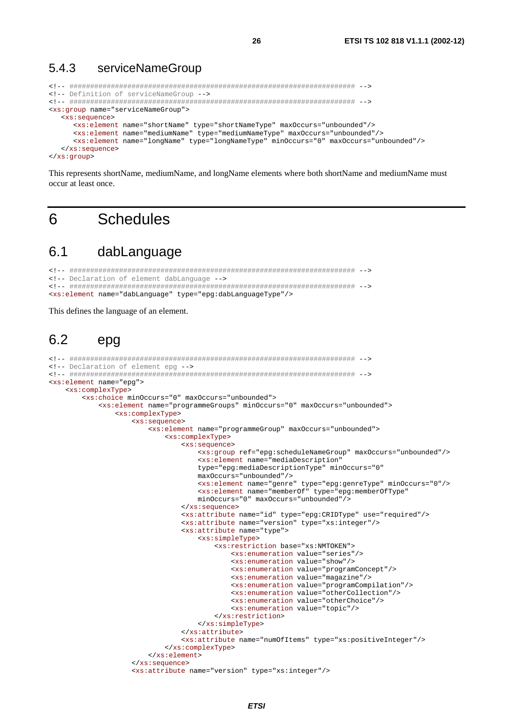#### 5.4.3 serviceNameGroup

```
<!-- Definition of serviceNameGroup -->
<xs:qroup name="serviceNameGroup">
  <xs:sequence>
    <xs:element name="shortName" type="shortNameType" maxOccurs="unbounded"/>
    <xs:element name="mediumName" type="mediumNameType" maxOccurs="unbounded"/>
    <xs:element name="longName" type="longNameType" minOccurs="0" maxOccurs="unbounded"/>
  \langle xs:sequence>
```
26

</xs:group>

This represents shortName, mediumName, and longName elements where both shortName and mediumName must occur at least once.

#### **Schedules**  $6\overline{6}$

#### 61 dabLanguage

```
<!-- Declaration of element dabLanguage -->
<xs:element name="dabLanguage" type="epg:dabLanguageType"/>
```
This defines the language of an element.

#### 62 epg

```
<!-- Declaration of element epg -->
<xs:element name="epq">
    <xs:complexType>
        <xs:choice minOccurs="0" maxOccurs="unbounded">
           <xs:element name="programmeGroups" minOccurs="0" maxOccurs="unbounded">
               <xs:complexType>
                   <xs:sequence>
                        <xs:element name="programmeGroup" maxOccurs="unbounded">
                           <xs:complexType>
                               <xs:sequence>
                                   <xs:group ref="epq:scheduleNameGroup" maxOccurs="unbounded"/>
                                   sxs:element name="mediaDescription"
                                   type="epg:mediaDescriptionType" minOccurs="0"
                                   maxOccurs="unbounded"/>
                                   <xs:element name="generic" type="eps:general" prime" min0cours="0"/~\n<math display="inline">xs:element name="memberOf" type="eps:memberOfType"</math>minOccurs="0" maxOccurs="unbounded"/>
                               \langle xs : \text{sequence} \rangle<xs:attribute name="id" type="epq:CRIDType" use="required"/>
                               <xs:attribute name="version" type="xs:integer"/>
                               <xs:attribute name="type">
                                    <xs:simpleType>
                                       <xs:restriction base="xs:NMTOKEN">
                                           <xs:enumeration value="series"/>
                                           <xs:enumeration value="show"/>
                                            <xs:enumeration value="programConcept"/>
                                           <xs:enumeration value="magazine"/>
                                           <xs:enumeration value="programCompilation"/>
                                           <xs:enumeration value="otherCollection"/>
                                           <xs:enumeration value="otherChoice"/>
                                           <xs:enumeration value="topic"/>
                                       </xs:restriction>
                                   </xs:simpleType>
                               \epsilon/ve:attribute>
                               <xs:attribute name="numOfItems" type="xs:positiveInteger"/>
                           \frac{2}{x}s: complexType>
                       </xs:element>
                    </xs:sequence>
                    <xs:attribute name="version" type="xs:integer"/>
```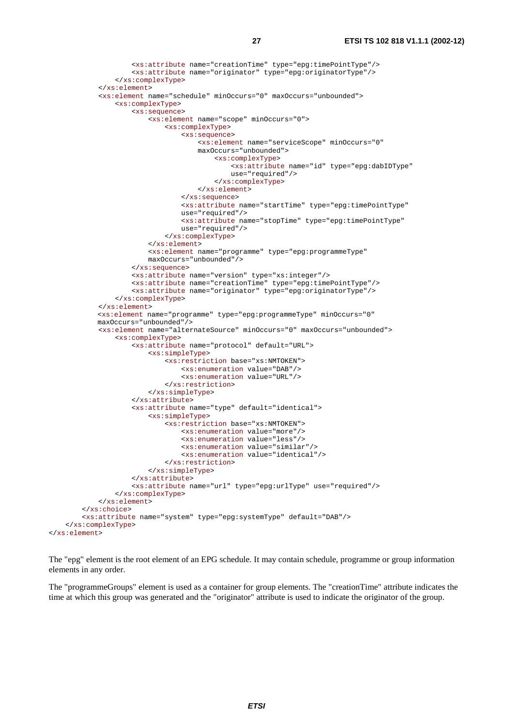```
 <xs:attribute name="creationTime" type="epg:timePointType"/> 
                      <xs:attribute name="originator" type="epg:originatorType"/> 
                  </xs:complexType> 
             </xs:element> 
              <xs:element name="schedule" minOccurs="0" maxOccurs="unbounded"> 
                  <xs:complexType> 
                      <xs:sequence> 
                          <xs:element name="scope" minOccurs="0"> 
                               <xs:complexType> 
                                   <xs:sequence> 
                                      <xs:element name="serviceScope" minOccurs="0" 
                                      maxOccurs="unbounded"> 
                                            <xs:complexType> 
                                               <xs:attribute name="id" type="epg:dabIDType" 
                                               use="required"/> 
                                            </xs:complexType> 
                                        </xs:element> 
                                   </xs:sequence> 
                                  <xs:attribute name="startTime" type="epg:timePointType" 
                                  use="required"/> 
                                  <xs:attribute name="stopTime" type="epg:timePointType" 
                                  use="required"/> 
                               </xs:complexType> 
                          </xs:element> 
                         <xs:element name="programme" type="epg:programmeType" 
                         maxOccurs="unbounded"/> 
                      </xs:sequence> 
                      <xs:attribute name="version" type="xs:integer"/> 
                      <xs:attribute name="creationTime" type="epg:timePointType"/> 
                      <xs:attribute name="originator" type="epg:originatorType"/> 
                  </xs:complexType> 
             </xs:element> 
            <xs:element name="programme" type="epg:programmeType" minOccurs="0" 
            maxOccurs="unbounded"/> 
              <xs:element name="alternateSource" minOccurs="0" maxOccurs="unbounded"> 
                  <xs:complexType> 
                      <xs:attribute name="protocol" default="URL"> 
                          <xs:simpleType> 
                               <xs:restriction base="xs:NMTOKEN"> 
                                   <xs:enumeration value="DAB"/> 
                                   <xs:enumeration value="URL"/> 
                               </xs:restriction> 
                          </xs:simpleType> 
                      </xs:attribute> 
                      <xs:attribute name="type" default="identical"> 
                          <xs:simpleType> 
                               <xs:restriction base="xs:NMTOKEN"> 
                                   <xs:enumeration value="more"/> 
                                   <xs:enumeration value="less"/> 
                                   <xs:enumeration value="similar"/> 
                                   <xs:enumeration value="identical"/> 
                               </xs:restriction> 
                          </xs:simpleType> 
                      </xs:attribute> 
                      <xs:attribute name="url" type="epg:urlType" use="required"/> 
                  </xs:complexType> 
              </xs:element> 
         </xs:choice> 
         <xs:attribute name="system" type="epg:systemType" default="DAB"/> 
     </xs:complexType> 
</xs:element>
```
The "epg" element is the root element of an EPG schedule. It may contain schedule, programme or group information elements in any order.

The "programmeGroups" element is used as a container for group elements. The "creationTime" attribute indicates the time at which this group was generated and the "originator" attribute is used to indicate the originator of the group.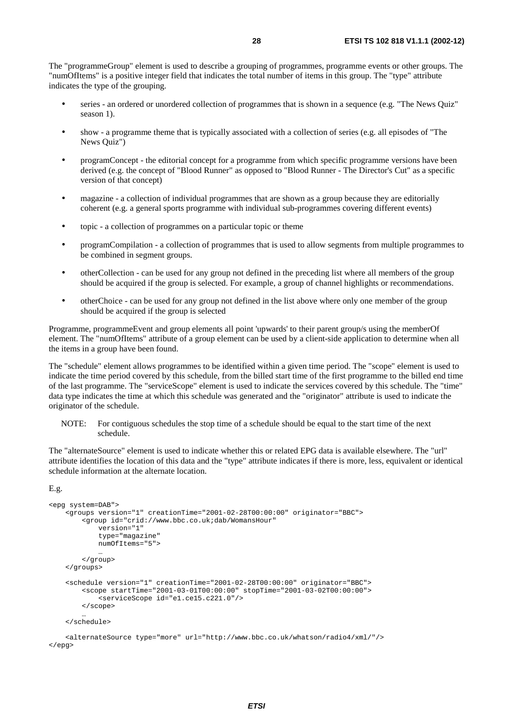The "programmeGroup" element is used to describe a grouping of programmes, programme events or other groups. The "numOfItems" is a positive integer field that indicates the total number of items in this group. The "type" attribute indicates the type of the grouping.

- series an ordered or unordered collection of programmes that is shown in a sequence (e.g. "The News Quiz" season 1).
- show a programme theme that is typically associated with a collection of series (e.g. all episodes of "The News Quiz")
- programConcept the editorial concept for a programme from which specific programme versions have been derived (e.g. the concept of "Blood Runner" as opposed to "Blood Runner - The Director's Cut" as a specific version of that concept)
- magazine a collection of individual programmes that are shown as a group because they are editorially coherent (e.g. a general sports programme with individual sub-programmes covering different events)
- topic a collection of programmes on a particular topic or theme
- programCompilation a collection of programmes that is used to allow segments from multiple programmes to be combined in segment groups.
- otherCollection can be used for any group not defined in the preceding list where all members of the group should be acquired if the group is selected. For example, a group of channel highlights or recommendations.
- otherChoice can be used for any group not defined in the list above where only one member of the group should be acquired if the group is selected

Programme, programmeEvent and group elements all point 'upwards' to their parent group/s using the memberOf element. The "numOfItems" attribute of a group element can be used by a client-side application to determine when all the items in a group have been found.

The "schedule" element allows programmes to be identified within a given time period. The "scope" element is used to indicate the time period covered by this schedule, from the billed start time of the first programme to the billed end time of the last programme. The "serviceScope" element is used to indicate the services covered by this schedule. The "time" data type indicates the time at which this schedule was generated and the "originator" attribute is used to indicate the originator of the schedule.

NOTE: For contiguous schedules the stop time of a schedule should be equal to the start time of the next schedule.

The "alternateSource" element is used to indicate whether this or related EPG data is available elsewhere. The "url" attribute identifies the location of this data and the "type" attribute indicates if there is more, less, equivalent or identical schedule information at the alternate location.

```
E.g.
```

```
<epg system=DAB"> 
     <groups version="1" creationTime="2001-02-28T00:00:00" originator="BBC"> 
         <group id="crid://www.bbc.co.uk;dab/WomansHour" 
             version="1" 
             type="magazine" 
            numOfItems="5"> 
 … 
         </group> 
    </groups> 
     <schedule version="1" creationTime="2001-02-28T00:00:00" originator="BBC"> 
         <scope startTime="2001-03-01T00:00:00" stopTime="2001-03-02T00:00:00"> 
             <serviceScope id="e1.ce15.c221.0"/> 
         </scope> 
 … 
    </schedule> 
    <alternateSource type="more" url="http://www.bbc.co.uk/whatson/radio4/xml/"/>
```

```
</epg>
```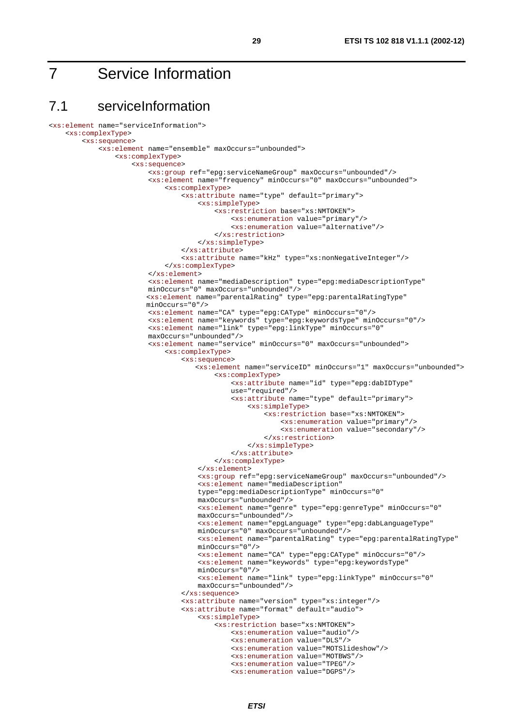## 7 Service Information

## 7.1 serviceInformation

```
<xs:element name="serviceInformation"> 
     <xs:complexType> 
         <xs:sequence> 
             <xs:element name="ensemble" maxOccurs="unbounded"> 
                 <xs:complexType> 
                      <xs:sequence> 
                          <xs:group ref="epg:serviceNameGroup" maxOccurs="unbounded"/> 
                          <xs:element name="frequency" minOccurs="0" maxOccurs="unbounded"> 
                              <xs:complexType> 
                                  <xs:attribute name="type" default="primary"> 
                                       <xs:simpleType> 
                                           <xs:restriction base="xs:NMTOKEN"> 
                                                <xs:enumeration value="primary"/> 
                                                <xs:enumeration value="alternative"/> 
                                           </xs:restriction> 
                                       </xs:simpleType> 
                                   </xs:attribute> 
                                   <xs:attribute name="kHz" type="xs:nonNegativeInteger"/> 
                              </xs:complexType> 
                          </xs:element> 
                         <xs:element name="mediaDescription" type="epg:mediaDescriptionType" 
                         minOccurs="0" maxOccurs="unbounded"/> 
                         <xs:element name="parentalRating" type="epg:parentalRatingType" 
                        minOccurs="0"/> 
                          <xs:element name="CA" type="epg:CAType" minOccurs="0"/> 
                          <xs:element name="keywords" type="epg:keywordsType" minOccurs="0"/> 
                         <xs:element name="link" type="epg:linkType" minOccurs="0" 
                         maxOccurs="unbounded"/> 
                          <xs:element name="service" minOccurs="0" maxOccurs="unbounded"> 
                              <xs:complexType> 
                                   <xs:sequence> 
                                     <xs:element name="serviceID" minOccurs="1" maxOccurs="unbounded"> 
                                           <xs:complexType> 
                                               <xs:attribute name="id" type="epg:dabIDType" 
                                              use="required"/> 
                                               <xs:attribute name="type" default="primary"> 
                                                    <xs:simpleType> 
                                                        <xs:restriction base="xs:NMTOKEN"> 
                                                            <xs:enumeration value="primary"/> 
                                                            <xs:enumeration value="secondary"/> 
                                                        </xs:restriction> 
                                                    </xs:simpleType> 
                                               </xs:attribute> 
                                           </xs:complexType> 
                                       </xs:element> 
                                       <xs:group ref="epg:serviceNameGroup" maxOccurs="unbounded"/> 
                                      <xs:element name="mediaDescription" 
                                      type="epg:mediaDescriptionType" minOccurs="0" 
                                      maxOccurs="unbounded"/> 
                                      <xs:element name="genre" type="epg:genreType" minOccurs="0" 
                                      maxOccurs="unbounded"/> 
                                      <xs:element name="epgLanguage" type="epg:dabLanguageType" 
                                      minOccurs="0" maxOccurs="unbounded"/> 
                                      <xs:element name="parentalRating" type="epg:parentalRatingType" 
                                      minOccurs="0"/> 
                                      <xs:element name="CA" type="epg:CAType" minOccurs="0"/> 
                                      <xs:element name="keywords" type="epg:keywordsType" 
                                      minOccurs="0"/> 
                                      <xs:element name="link" type="epg:linkType" minOccurs="0" 
                                      maxOccurs="unbounded"/> 
                                   </xs:sequence> 
                                   <xs:attribute name="version" type="xs:integer"/> 
                                   <xs:attribute name="format" default="audio"> 
                                       <xs:simpleType> 
                                           <xs:restriction base="xs:NMTOKEN"> 
                                                <xs:enumeration value="audio"/> 
                                                <xs:enumeration value="DLS"/> 
                                                <xs:enumeration value="MOTSlideshow"/> 
                                                <xs:enumeration value="MOTBWS"/> 
                                                <xs:enumeration value="TPEG"/> 
                                                <xs:enumeration value="DGPS"/>
```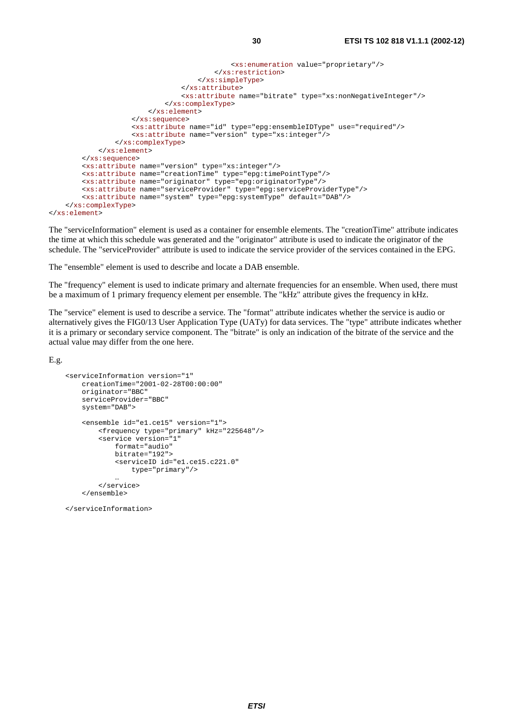```
 <xs:enumeration value="proprietary"/> 
                                       </xs:restriction> 
                                   </xs:simpleType> 
                               </xs:attribute> 
                               <xs:attribute name="bitrate" type="xs:nonNegativeInteger"/> 
                          </xs:complexType> 
                      </xs:element> 
                  </xs:sequence> 
                  <xs:attribute name="id" type="epg:ensembleIDType" use="required"/> 
                  <xs:attribute name="version" type="xs:integer"/> 
             </xs:complexType> 
         </xs:element> 
     </xs:sequence> 
     <xs:attribute name="version" type="xs:integer"/> 
     <xs:attribute name="creationTime" type="epg:timePointType"/> 
     <xs:attribute name="originator" type="epg:originatorType"/> 
     <xs:attribute name="serviceProvider" type="epg:serviceProviderType"/> 
     <xs:attribute name="system" type="epg:systemType" default="DAB"/> 
 </xs:complexType>
```

```
</xs:element>
```
The "serviceInformation" element is used as a container for ensemble elements. The "creationTime" attribute indicates the time at which this schedule was generated and the "originator" attribute is used to indicate the originator of the schedule. The "serviceProvider" attribute is used to indicate the service provider of the services contained in the EPG.

The "ensemble" element is used to describe and locate a DAB ensemble.

The "frequency" element is used to indicate primary and alternate frequencies for an ensemble. When used, there must be a maximum of 1 primary frequency element per ensemble. The "kHz" attribute gives the frequency in kHz.

The "service" element is used to describe a service. The "format" attribute indicates whether the service is audio or alternatively gives the FIG0/13 User Application Type (UATy) for data services. The "type" attribute indicates whether it is a primary or secondary service component. The "bitrate" is only an indication of the bitrate of the service and the actual value may differ from the one here.

E.g.

```
 <serviceInformation version="1" 
         creationTime="2001-02-28T00:00:00" 
         originator="BBC" 
         serviceProvider="BBC" 
         system="DAB"> 
          <ensemble id="e1.ce15" version="1"> 
              <frequency type="primary" kHz="225648"/> 
              <service version="1" 
                   format="audio" 
                   bitrate="192"> 
                   <serviceID id="e1.ce15.c221.0" 
                       type="primary"/> 
man and the contract of the con-
              </service> 
          </ensemble>
```
</serviceInformation>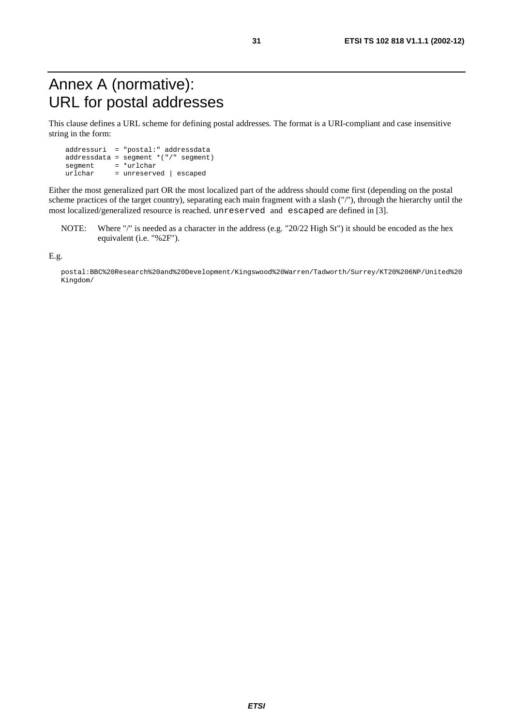## Annex A (normative): URL for postal addresses

This clause defines a URL scheme for defining postal addresses. The format is a URI-compliant and case insensitive string in the form:

 addressuri = "postal:" addressdata addressdata = segment \*("/" segment)  $\begin{array}{rcl}\n\text{segment} & = & \text{surface} \\
\text{urlchar} & = & \text{unreserve}\n\end{array}$ = unreserved | escaped

Either the most generalized part OR the most localized part of the address should come first (depending on the postal scheme practices of the target country), separating each main fragment with a slash ("/"), through the hierarchy until the most localized/generalized resource is reached. unreserved and escaped are defined in [3].

NOTE: Where "/" is needed as a character in the address (e.g. "20/22 High St") it should be encoded as the hex equivalent (i.e. "%2F").

E.g.

postal:BBC%20Research%20and%20Development/Kingswood%20Warren/Tadworth/Surrey/KT20%206NP/United%20 Kingdom/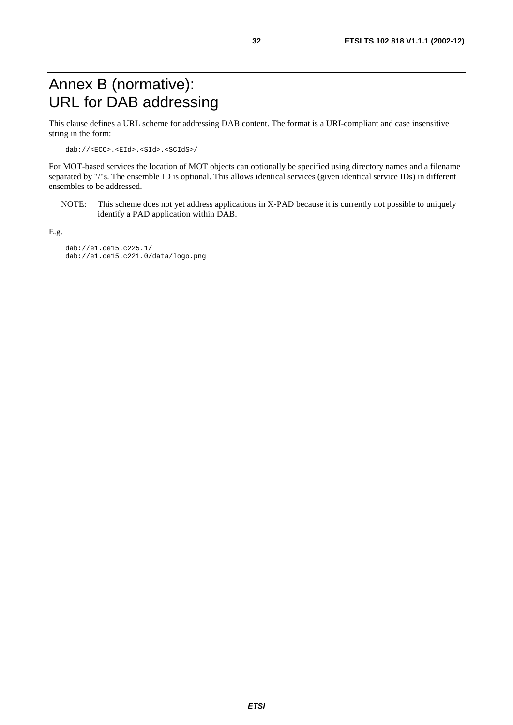## Annex B (normative): URL for DAB addressing

This clause defines a URL scheme for addressing DAB content. The format is a URI-compliant and case insensitive string in the form:

dab://<ECC>.<EId>.<SId>.<SCIdS>/

For MOT-based services the location of MOT objects can optionally be specified using directory names and a filename separated by "/"s. The ensemble ID is optional. This allows identical services (given identical service IDs) in different ensembles to be addressed.

NOTE: This scheme does not yet address applications in X-PAD because it is currently not possible to uniquely identify a PAD application within DAB.

E.g.

 dab://e1.ce15.c225.1/ dab://e1.ce15.c221.0/data/logo.png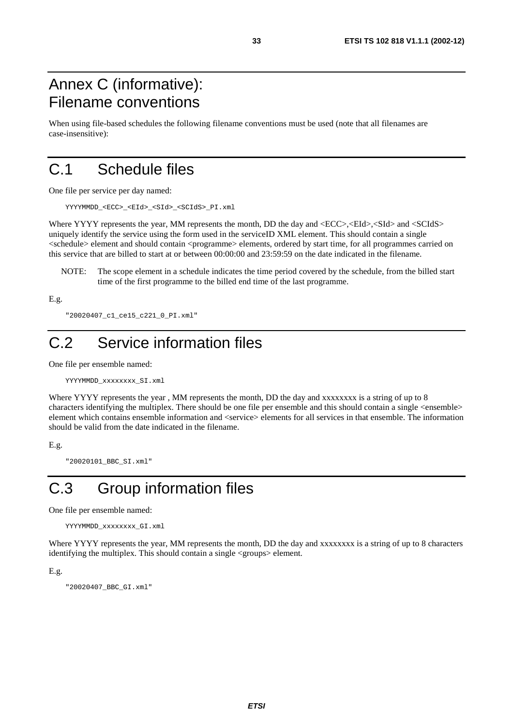## Annex C (informative): Filename conventions

When using file-based schedules the following filename conventions must be used (note that all filenames are case-insensitive):

## C.1 Schedule files

One file per service per day named:

YYYYMMDD\_<ECC>\_<EId>\_<SId>\_<SCIdS>\_PI.xml

Where YYYY represents the year, MM represents the month, DD the day and  $\langle ECC \rangle$ ,  $\langle EId \rangle$ ,  $\langle SId \rangle$  and  $\langle SCId \rangle$ . uniquely identify the service using the form used in the serviceID XML element. This should contain a single <schedule> element and should contain <programme> elements, ordered by start time, for all programmes carried on this service that are billed to start at or between 00:00:00 and 23:59:59 on the date indicated in the filename.

NOTE: The scope element in a schedule indicates the time period covered by the schedule, from the billed start time of the first programme to the billed end time of the last programme.

E.g.

```
 "20020407_c1_ce15_c221_0_PI.xml"
```
## C.2 Service information files

One file per ensemble named:

```
 YYYYMMDD_xxxxxxxx_SI.xml
```
Where YYYY represents the year, MM represents the month, DD the day and xxxxxxxx is a string of up to 8 characters identifying the multiplex. There should be one file per ensemble and this should contain a single <ensemble> element which contains ensemble information and <service> elements for all services in that ensemble. The information should be valid from the date indicated in the filename.

```
E.g.
```
"20020101\_BBC\_SI.xml"

## C.3 Group information files

One file per ensemble named:

```
 YYYYMMDD_xxxxxxxx_GI.xml
```
Where YYYY represents the year, MM represents the month, DD the day and xxxxxxxx is a string of up to 8 characters identifying the multiplex. This should contain a single <groups> element.

E.g.

"20020407\_BBC\_GI.xml"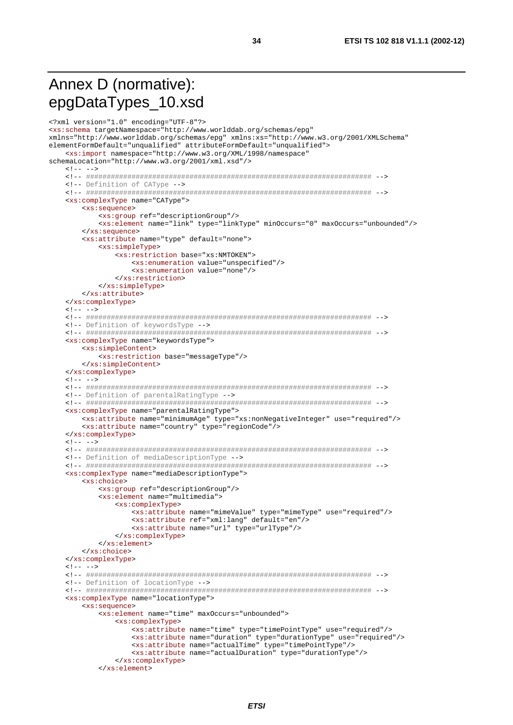## Annex D (normative): epgDataTypes\_10.xsd

```
<?xml version="1.0" encoding="UTF-8"?>
<xs:schema targetNamespace="http://www.worlddab.org/schemas/epg"
xmlns="http://www.worlddab.org/schemas/epq" xmlns:xs="http://www.w3.org/2001/XMLSchema"
elementFormDefault="unqualified" attributeFormDefault="unqualified">
   <xs:import namespace="http://www.w3.org/XML/1998/namespace"
schemaLocation="http://www.w3.org/2001/xml.xsd"/>
   21 - - - -<!-- Definition of CAType -->
   <xs:complexType name="CAType">
      <xs:sequence>
         <xs: qroup ref="descriptionGroup"/>
         <xs:element name="link" type="linkType" minOccurs="0" maxOccurs="unbounded"/>
      </xs:sequence>
      <xs:attribute name="type" default="none">
         <xs:simpleType>
            <xs:restriction base="xs:NMTOKEN">
               <xs:enumeration value="unspecified"/>
               <xs:enumeration value="none"/>
            </xs:restriction>
         </xs:simpleType>
      </xs:attribute>
   </xs:complexType>
   \leq 1 - 2 - 3<!-- Definition of keywordsType -->
   <xs:complexType name="keywordsType">
      \xixs: \sinh^{-1}<sub>2</sub> Content>
        <xs:restriction base="messageType"/>
      </xs:simpleContent>
   </xs:complexType>
   \lt!! -- -->
   <!-- Definition of parentalRatingType -->
   <xs:complexType name="parentalRatingType">
      <xs:attribute name="minimumAge" type="xs:nonNegativeInteger" use="required"/>
      <xs:attribute name="country" type="regionCode"/>
   </xs:complexType>
   \lt!! -- -->
   <!-- Definition of mediaDescriptionType -->
   <xs:complexType name="mediaDescriptionType">
      <xs:choice>
         <xs:group ref="descriptionGroup"/>
         <xs:element name="multimedia">
            <xs:complexType>
               <xs:attribute name="mimeValue" type="mimeType" use="required"/>
               <xs:attribute ref="xml:lang" default="en"/>
               <xs:attribute name="url" type="urlType"/>
            </xs:complexType>
         \frac{2}{x} </xs:element>
      </xs:choice>
   </xs:complexType>
   \langle!-- -->
   <!-- Definition of locationType -->
   <xs:complexType name="locationType">
      \xixs: sequence>
         <xs:element name="time" maxOccurs="unbounded">
            <xs:complexType>
               <xs:attribute name="time" type="timePointType" use="required"/>
               <xs:attribute name="duration" type="durationType" use="required"/>
               <xs:attribute name="actualTime" type="timePointType"/>
               <xs:attribute name="actualDuration" type="durationType"/>
            </xs:complexType>
         </xs:element>
```
34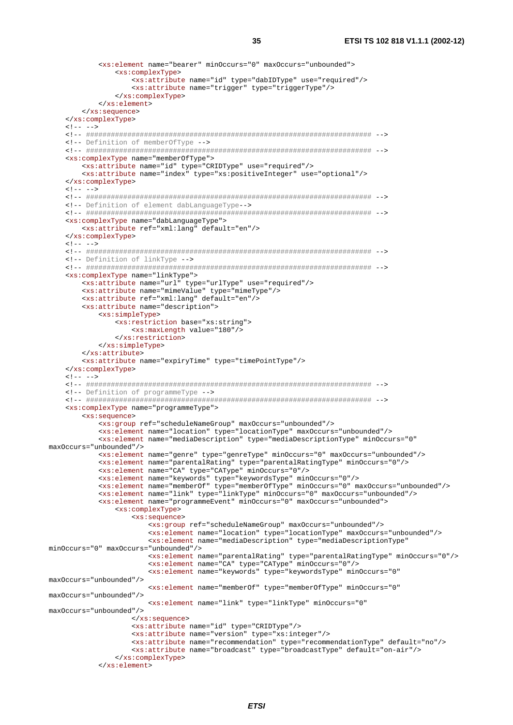```
<xs:element name="bearer" minOccurs="0" maxOccurs="unbounded">
             <xs:complexType>
                <xs:attribute name="id" type="dabIDType" use="required"/>
                <xs:attribute name="trigger" type="triggerType"/>
             </xs:complexType>
          \langle x s :element>
      </xs:sequence>
   \frac{1}{\sqrt{2}}21 - - - -<!-- Definition of memberOfType -->
   <xs:complexType name="memberOfType">
      <xs:attribute name="id" type="CRIDType" use="required"/>
      <xs:attribute name="index" type="xs:positiveInteger" use="optional"/>
   </xs:complexType>
   c1 - - - -<!-- Definition of element dabLanguageType-->
   <xs:complexType name="dabLanguageType">
      <xs:attribute ref="xml:lang" default="en"/>
   </xs:complexType>
   \leq - - - -<!-- Definition of linkType -->
   <xs:complexType name="linkType">
      <xs:attribute name="url" type="urlType" use="required"/>
      <xs:attribute name="mimeValue" type="mimeType"/>
      <xs:attribute ref="xml:lang" default="en"/>
      <xs:attribute name="description">
          <xs:simpleType>
             <xs:restriction base="xs:string">
                <xs:maxLength value="180"/>
             </xs:restriction>
          </xs:simpleType>
      </xs:attribute>
      <xs:attribute name="expiryTime" type="timePointType"/>
   </xs:complexType>
   \lt!! -- -->
   <!-- Definition of programmeType -->
   <xs:complexType name="programmeType">
      <xs:sequence>
          <xs:group ref="scheduleNameGroup" maxOccurs="unbounded"/>
          <xs:element name="location" type="locationType" maxOccurs="unbounded"/>
          <xs:element name="mediaDescription" type="mediaDescriptionType" minOccurs="0"
maxOccurs="unbounded"/>
          <xs:element name="genre" type="genreType" minOccurs="0" maxOccurs="unbounded"/>
          <xs:element name="parentalRating" type="parentalRatingType" minOccurs="0"/>
          <xs:element name="CA" type="CAType" minOccurs="0"/>
          <xs:element name="keywords" type="keywordsType" minOccurs="0"/>
          \alpha is definent name="memberOf" type="memberOfType" minOccurs="0" maxOccurs="unbounded"/>
          <xs:element name="link" type="linkType" minOccurs="0" maxOccurs="unbounded"/>
          <xs:element name="programmeEvent" minOccurs="0" maxOccurs="unbounded">
             <xs:complexType>
                 <xs:sequence>
                    <xs:group ref="scheduleNameGroup" maxOccurs="unbounded"/>
                    <xs:element name="location" type="locationType" maxOccurs="unbounded"/>
                    <xs:element name="mediaDescription" type="mediaDescriptionType"
minOccurs="0" maxOccurs="unbounded"/>
                    <xs:element name="parentalRating" type="parentalRatingType" minOccurs="0"/>
                    \frac{1}{x} <xs:element name="CA" type="CAType" minOccurs="0"/>
                    <xs:element name="keywords" type="keywordsType" minOccurs="0"
maxOccurs="unbounded"/>
                    <xs:element name="memberOf" type="memberOfType" minOccurs="0"
max0ccurs="unbounded"/>
                    <xs:element name="link" type="linkType" minOccurs="0"
maxOccurs="unbounded"/>
                </xs:sequence>
                <xs:attribute name="id" type="CRIDType"/>
                <xs:attribute name="version" type="xs:integer"/>
                 <xs:attribute name="recommendation" type="recommendationType" default="no"/>
                 <xs:attribute name="broadcast" type="broadcastType" default="on-air"/>
             </xs:complexType>
          \frac{1}{\sqrt{xs}}
```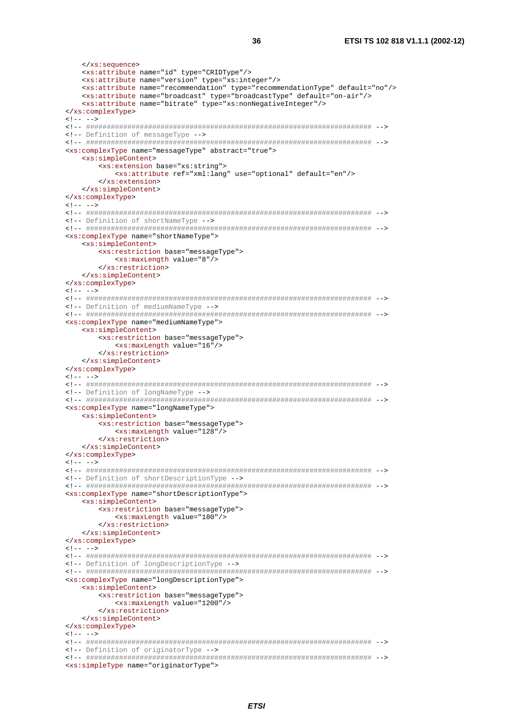```
</xs:sequence>
  <xs:attribute name="id" type="CRIDType"/>
  <xs:attribute name="version" type="xs:integer"/>
  <xs:attribute name="recommendation" type="recommendationType" default="no"/>
  <xs:attribute name="broadcast" type="broadcastType" default="on-air"/>
  <xs:attribute name="bitrate" type="xs:nonNegativeInteger"/>
</xs:complexType>
\leq - - - -<!-- Definition of messageType -->
<xs:complexType name="messageType" abstract="true">
  <xs:simpleContent>
    <xs:extension base="xs:string">
       <xs:attribute ref="xml:lang" use="optional" default="en"/>
    </xs:extension>
  </xs:simpleContent>
</xs:complexType>
1 - - - -<!-- Definition of shortNameType -->
<xs:complexType name="shortNameType">
  <xs:simpleContent>
    <xs:restriction base="messageType">
       <xs:maxLength value="8"/>
    </xs:restriction>
  </xs:simpleContent>
</xs:complexType>
21 - - - -<!-- Definition of mediumNameType -->
<xs:complexType name="mediumNameType">
  <xs:simpleContent>
     <xs:restriction base="messageType">
       <xs:maxLength value="16"/>
    </xs:restriction>
  </xs:simpleContent>
</xs:complexType>
\lt!! -- -->
<!-- Definition of longNameType -->
<xs:complexType name="longNameType">
  <xs:simpleContent>
    <xs:restriction base="messageType">
       <xs:maxLength value="128"/>
     </xs:restriction>
  </xs:simpleContent>
</xs:complexType>
c1 - - - -<!-- Definition of shortDescriptionType -->
<xs:complexType name="shortDescriptionType">
  <xs:simpleContent>
    <xs:restriction base="messageType">
       <xs:maxLength value="180"/>
    </xs:restriction>
  </xs:simpleContent>
</xs:complexType>
\lt!! -- -->
<!-- Definition of longDescriptionType -->
<xs:complexType name="longDescriptionType">
  \xixs:simpleContent>
     <xs:restriction base="messageType">
       <xs:maxLength value="1200"/>
     </xs:restriction>
  </xs:simpleContent>
</xs:complexType>
21 - - - -<!-- Definition of originatorType -->
<xs:simpleType name="originatorType">
```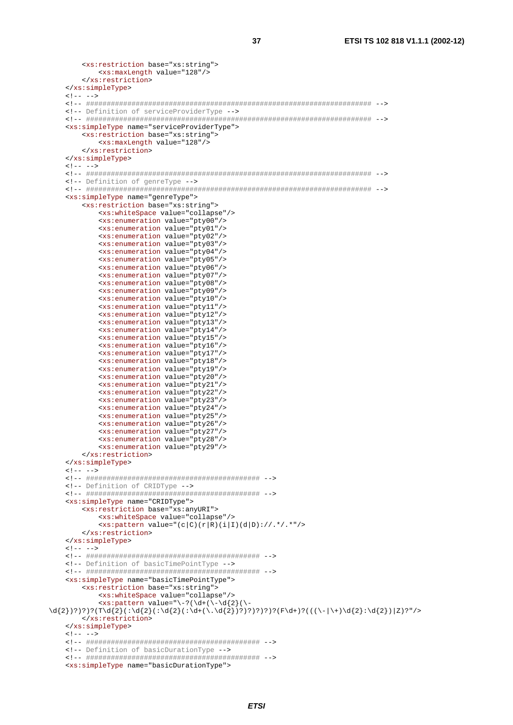```
<xs:restriction base="xs:string">
         <xs:maxLength value="128"/>
      </xs:restriction>
   </xs:simpleType>
   \langle!-- -->
   <!-- Definition of serviceProviderType -->
   <xs:simpleType name="serviceProviderType">
      <xs:restriction base="xs:string">
         <xs:maxLength value="128"/>
      </xs:restriction>
   </xs:simpleType>
   \lt!! -- -->
   <!-- Definition of genreType -->
   <xs:simpleType name="genreType">
      <xs:restriction base="xs:string">
         <xs:whiteSpace value="collapse"/>
         \frac{1}{x} <xs: enumeration value="pty00"/>
         <xs:enumeration value="pty01"/>
         <xs:enumeration value="pty02"/>
         <xs:enumeration value="pty03"/>
         <xs:enumeration value="pty04"/>
         <xs:enumeration value="pty05"/>
         <xs:enumeration value="pty06"/>
         <xs:enumeration value="pty07"/>
         <xs:enumeration value="pty08"/>
         <xs:enumeration value="pty09"/>
         <xs:enumeration value="pty10"/>
         <xs:enumeration value="ptyll"/>
         <xs:enumeration value="pty12"/>
         <xs:enumeration value="pty13"/>
         <xs:enumeration value="pty14"/>
         <xs:enumeration value="pty15"/>
         <xs:enumeration value="pty16"/>
         <xs:enumeration value="pty17"/>
         <xs:enumeration value="pty18"/>
         <xs:enumeration value="pty19"/>
         <xs:enumeration value="pty20"/>
         <xs:enumeration value="pty21"/>
         \cos:enumeration value="pty22"/>
         <xs:enumeration value="pty23"/>
         <xs:enumeration value="pty24"/>
         <xs:enumeration value="pty25"/>
         <xs:enumeration value="pty26"/>
         <xs:enumeration value="pty27"/>
         <xs:enumeration value="pty28"/>
         <xs:enumeration value="pty29"/>
      </xs:restriction>
   </xs:simpleType>
   21 - - - -<!-- Definition of CRIDType -->
   <xs:simpleType name="CRIDType">
      <xs:restriction base="xs:anyURI">
         <xs:whiteSpace value="collapse"/>
         \langle xs:pattern value='c|c)(r|R)(i|I)(d|D):///.*/.**/</xs:restriction>
   </xs:simpleType>
   \lt!! -- -->
   <!-- Definition of basicTimePointType -->
   <xs:simpleType name="basicTimePointType">
      <xs:restriction base="xs:string">
         <xs:whiteSpace value="collapse"/>
         \d{2}; ? ? ? ? (T\d{2}; : \d{2}; : \d{2}; : \d{2}; : \d{2}; : \d{2}; : \d{2}; ? ? ? ? ? ? ? ? ? ? ? ? (F\d+ ? ? (((\-\|\+\) \d{2}; \d{2}; \d{2}; ? ?') ?\frac{1}{2} </xs: restriction>
   </xs:simpleType>
   \leq 1 - - - -<!-- Definition of basicDurationType -->
```

```
<xs:simpleType name="basicDurationType">
```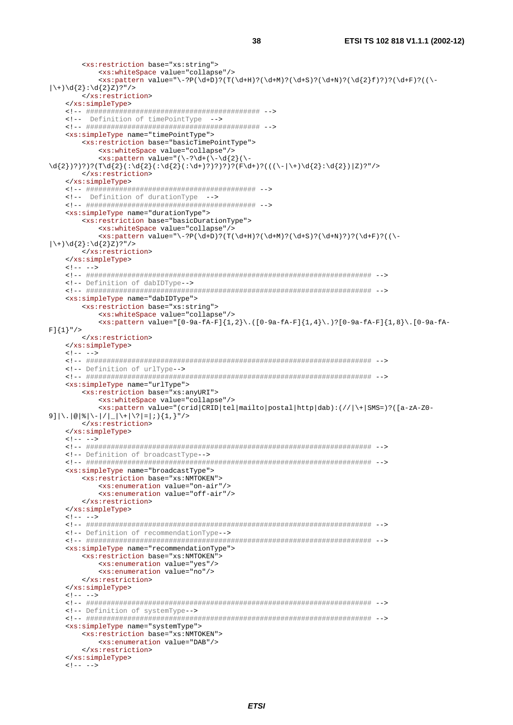```
 <xs:restriction base="xs:string"> 
                <xs:whiteSpace value="collapse"/> 
              \langle xs:pattern value="\-?P(\d+D)?(T(\d+H)?(\d+M)?(\d+S)?(\d+N)?(\d{2}f)?)?(\d+F)?(\-
|\setminus+)\setminus d\ {2}:\setminus d\ {2}Z) ?"/>
           </xs:restriction> 
      </xs:simpleType> 
      <!-- ########################################## --> 
     <!-- Definition of timePointType --> 
     <!-- ########################################## --> 
      <xs:simpleType name="timePointType"> 
          <xs:restriction base="basicTimePointType"> 
               <xs:whiteSpace value="collapse"/> 
              \langle xs:pattern value="(\{-?\}d+(\{-\}d\{2\})\rangle\d{2})?)?)?(T\d{2}(:\d{2}(:\d{2}(:\d+)?)?)?)?(F\d+)?(((\-|\+)\d{2}:\d{2})|Z)?"/>
          </xs:restriction> 
      </xs:simpleType> 
     <!-- ######################################### --> 
     <!-- Definition of durationType --> 
     <!-- ######################################### --> 
      <xs:simpleType name="durationType"> 
          <xs:restriction base="basicDurationType"> 
               <xs:whiteSpace value="collapse"/> 
              \langle x s : pattern \ value = "\ -?P(\d+D)?(T(\d+H)?(\d+M)?(\d+S)?(\d+N)?)?(\d+F)?(|\ \rangle + \rangle \d{2}: \d{2}Z)?"/>
          </xs:restriction> 
      </xs:simpleType> 
    \lt!! -- -->
      <!-- ##################################################################### --> 
     <!-- Definition of dabIDType--> 
     <!-- ##################################################################### --> 
      <xs:simpleType name="dabIDType"> 
           <xs:restriction base="xs:string"> 
               <xs:whiteSpace value="collapse"/> 
              \langle x, y \rangle = \langle x, y \rangle (1,8) \langle 0, -9a - fA - f \rangle = \frac{1}{2}, \langle 0, -9a - fA - f \rangle = \frac{1}{2}, \langle 0, -9a - fA - f \rangle = \frac{1}{2}, \langle 0, -9a - fA - f \rangle = \frac{1}{2}, \langle 0, -9a - fA - f \rangle = \frac{1}{2}, \langle 0, -9a - fA - f \rangle = \frac{1}{2}, \langle 0, -9a - fA - f \rangle = \frac{1}{2}, \langle 0, -9a - fA - f \rangle = \frac{1}{2}, \langle 0, -9a - fA -F] \{1\}" />
          </xs:restriction> 
      </xs:simpleType> 
    \lt! -- -->
     <!-- ##################################################################### --> 
     <!-- Definition of urlType--> 
      <!-- ##################################################################### --> 
      <xs:simpleType name="urlType"> 
           <xs:restriction base="xs:anyURI"> 
               <xs:whiteSpace value="collapse"/> 
               <xs:pattern value="(crid|CRID|tel|mailto|postal|http|dab):(//|\+|SMS=)?([a-zA-Z0-
9]|\.|@|%|\-|/|_|\+|\?|=|;){1,}"/>
          </xs:restriction> 
     </xs:simpleType> 
     \lt!! -- -->
     <!-- ##################################################################### --> 
     <!-- Definition of broadcastType--> 
     <!-- ##################################################################### --> 
     <xs:simpleType name="broadcastType"> 
           <xs:restriction base="xs:NMTOKEN"> 
               <xs:enumeration value="on-air"/> 
               <xs:enumeration value="off-air"/> 
          </xs:restriction> 
      </xs:simpleType> 
     21 - - - - <!-- ##################################################################### --> 
     <!-- Definition of recommendationType--> 
      <!-- ##################################################################### --> 
      <xs:simpleType name="recommendationType"> 
           <xs:restriction base="xs:NMTOKEN"> 
               <xs:enumeration value="yes"/> 
               <xs:enumeration value="no"/> 
          </xs:restriction> 
     </xs:simpleType> 
    \leq | --- - - \geq <!-- ##################################################################### --> 
      <!-- Definition of systemType--> 
      <!-- ##################################################################### --> 
     <xs:simpleType name="systemType"> 
          <xs:restriction base="xs:NMTOKEN"> 
               <xs:enumeration value="DAB"/> 
           </xs:restriction> 
      </xs:simpleType> 
    \leq ! -- -->
```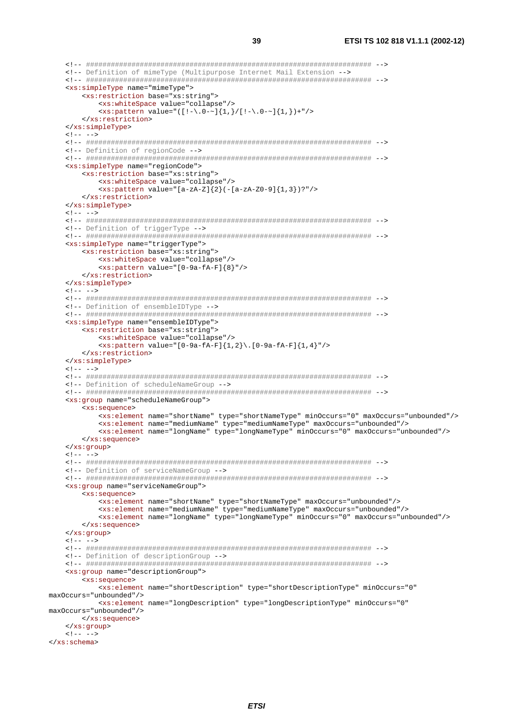```
<!-- Definition of mimeType (Multipurpose Internet Mail Extension -->
   <xs:simpleType name="mimeType">
      <xs:restriction base="xs:string">
         <xs:whiteSpace value="collapse"/>
         \langle x s : \text{pattern value} = "([! - \langle 0 - \rangle][1,]/[! - \langle 0 - \rangle][1,]\rangle + "/\frac{1}{2} </xs: restriction>
   </xs:simpleType>
   1 - - - -<!-- Definition of regionCode -->
   <xs:simpleType name="regionCode">
      <xs:restriction base="xs:string">
         <xs:whiteSpace value="collapse"/>
         <xs:pattern value="[a-zA-Z]{2}(-[a-zA-Z0-9]{1,3})?"/>
      </xs:restriction>
   </xs:simpleType>
   1 - - - -<!-- Definition of triggerType -->
   <xs:simpleType name="triggerType">
      <xs:restriction hase="xs:string">
         <xs:whiteSpace value="collapse"/>
         \langle xs:pattern value=' [0-9a-fA-F]\{8\}))/</xs:restriction>
   </xs:simpleType>
   21 - - - - -<!-- Definition of ensembleIDType -->
   <xs:simpleType name="ensembleIDType">
      <xs:restriction base="xs:string">
         <xs:whiteSpace value="collapse"/>
         \langle x, y \rangle = \langle x, y \rangle = \langle y, z \rangle = \langle y, z \rangle = \langle y, z \rangle = \langle z, y \rangle = \langle z, y \rangle = \langle z, y \rangle = \langle z, y \rangle = \langle z, y \rangle = \langle z, y \rangle = \langle z, y \rangle = \langle z, y \rangle = \langle z, y \rangle = \langle z, y \rangle = \langle z, y \rangle = \langle z, y \rangle = \langle z, y \rangle = \langle z,</xs:restriction>
   </xs:simpleType>
   \langle!-- -->
   <!-- Definition of scheduleNameGroup -->
   <xs: qroup name="scheduleNameGroup">
      <xs:sequence>
         <xs:element name="shortName" type="shortNameType" minOccurs="0" maxOccurs="unbounded"/>
         <xs:element name="mediumName" type="mediumNameType" maxOccurs="unbounded"/>
         <xs:element name="longName" type="longNameType" minOccurs="0" maxOccurs="unbounded"/>
      </xs:sequence>
   </xs:group>
   \lt!! -- -->
   <!-- Definition of serviceNameGroup -->
   <xs:group name="serviceNameGroup">
      <xs:sequence>
         <xs:element name="shortName" type="shortNameType" maxOccurs="unbounded"/>
          <xs:element name="mediumName" type="mediumNameType" maxOccurs="unbounded"/>
         <xs:element name="longName" type="longNameType" minOccurs="0" maxOccurs="unbounded"/>
      \epsilon/xs:semience>
   </xs:group>
   \lt!! -- -->
   <!-- Definition of descriptionGroup -->
   <xs:group name="descriptionGroup">
      <xs:sequence>
         <xs:element name="shortDescription" type="shortDescriptionType" minOccurs="0"
maxOccurs="unbounded"/>
         <xs:element name="longDescription" type="longDescriptionType" minOccurs="0"
maxOccurs="unbounded"/>
      </xs:sequence>
   </xs:aroup>
   \leq 1 - - - -\langle x s : \text{schema} \rangle
```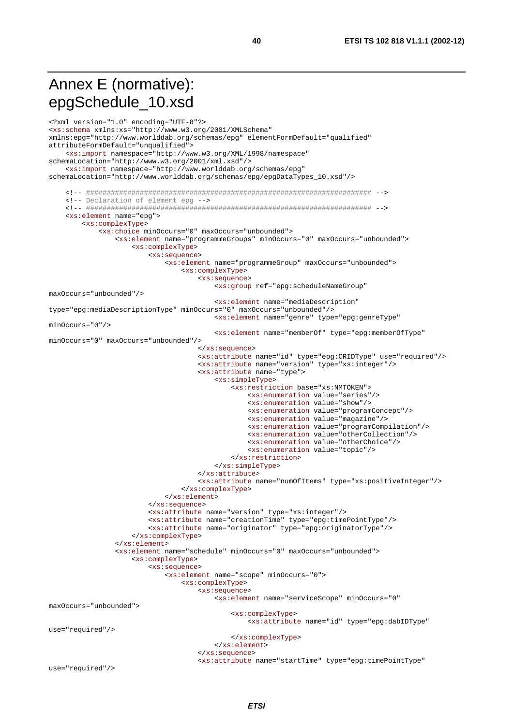## Annex E (normative): epgSchedule\_10.xsd

```
<?xml version="1.0" encoding="UTF-8"?>
<xs:schema xmlns:xs="http://www.w3.org/2001/XMLSchema"
xmlns:epq="http://www.worlddab.org/schemas/epq" elementFormDefault="qualified"
attributeFormDefault="unqualified">
    <xs:import namespace="http://www.w3.org/XML/1998/namespace"
schemaLocation="http://www.w3.org/2001/xml.xsd"/>
    <xs:import namespace="http://www.worlddab.org/schemas/epg"
schemaLocation="http://www.worlddab.org/schemas/epg/epgDataTypes_10.xsd"/>
    <!-- Declaration of element epg -->
    <xs:element name="epg">
        <xs:complexType>
            <xs:choice minOccurs="0" maxOccurs="unbounded">
               <xs:element name="programmeGroups" minOccurs="0" maxOccurs="unbounded">
                   <xs:complexType>
                       <xs:sequence>
                           <xs:element name="programmeGroup" maxOccurs="unbounded">
                               <xs:complexType>
                                   <xs:sequence>
                                       <xs:group ref="epg:scheduleNameGroup"
maxOccurs="unbounded"/>
                                       <xs:element name="mediaDescription"
type="epq:mediaDescriptionType" minOccurs="0" maxOccurs="unbounded"/>
                                       <xs:element name="genre" type="epq:genreType"
minOrours = "0"/>
                                       <xs:element name="memberOf" type="epg:memberOfType"
minOccurs="0" maxOccurs="unbounded"/>
                                   \langle xs : \text{sequence} \rangle<xs:attribute name="id" type="epg:CRIDType" use="required"/>
                                   <xs:attribute name="version" type="xs:integer"/>
                                   <xs:attribute name="type">
                                       <xs:simpleType>
                                           <xs:restriction base="xs:NMTOKEN">
                                               <xs:enumeration value="series"/>
                                               <xs:enumeration value="show"/>
                                               <xs:enumeration value="programConcept"/>
                                               \frac{1}{x} <xs: enumeration value="magazine" />
                                               <xs:enumeration value="programCompilation"/>
                                               <xs:enumeration value="otherCollection"/>
                                               <xs:enumeration value="otherChoice"/>
                                               <xs:enumeration value="topic"/>
                                           </xs:restriction>
                                       </xs:simpleType>
                                   </xs:attribute>
                                   <xs:attribute name="numOfItems" type="xs:positiveInteger"/>
                               </xs:complexType>
                           \langle xs :element>
                       </xs:sequence>
                       <xs:attribute name="version" type="xs:integer"/>
                       <xs:attribute name="creationTime" type="epg:timePointType"/>
                       <xs:attribute name="originator" type="epg:originatorType"/>
                    </xs:complexType>
                \frac{2}{x} </xs:element>
                <xs:element name="schedule" minOccurs="0" maxOccurs="unbounded">
                    <xs:complexType>
                       <xs:sequence>
                           <xs:element name="scope" minOccurs="0">
                               <xs:complexType>
                                   <xs:sequence>
                                       <xs:element name="serviceScope" minOccurs="0"
maxOccurs="unbounded">
                                           <xs:complexType>
                                               <xs:attribute name="id" type="epq:dabIDType"
use="required"/>
                                           </xs:complexType>
                                       </xs:element>
                                   \langle xs : \text{sequence} \rangle<xs:attribute name="startTime" type="epg:timePointType"
use="required"/>
```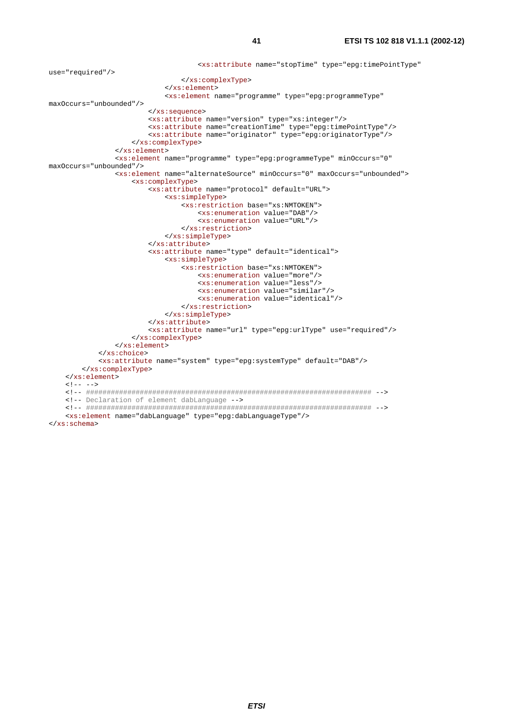```
 <xs:attribute name="stopTime" type="epg:timePointType" 
use="required"/> 
                                   </xs:complexType> 
                               </xs:element> 
                               <xs:element name="programme" type="epg:programmeType" 
maxOccurs="unbounded"/> 
                           </xs:sequence> 
                          <xs:attribute name="version" type="xs:integer"/> 
                          <xs:attribute name="creationTime" type="epg:timePointType"/> 
                           <xs:attribute name="originator" type="epg:originatorType"/> 
                      </xs:complexType> 
                  </xs:element> 
                  <xs:element name="programme" type="epg:programmeType" minOccurs="0" 
maxOccurs="unbounded"/> 
                  <xs:element name="alternateSource" minOccurs="0" maxOccurs="unbounded"> 
                      <xs:complexType> 
                          <xs:attribute name="protocol" default="URL"> 
                               <xs:simpleType> 
                                   <xs:restriction base="xs:NMTOKEN"> 
                                       <xs:enumeration value="DAB"/> 
                                       <xs:enumeration value="URL"/> 
                                   </xs:restriction> 
                               </xs:simpleType> 
                          </xs:attribute> 
                          <xs:attribute name="type" default="identical"> 
                               <xs:simpleType> 
                                   <xs:restriction base="xs:NMTOKEN"> 
                                       <xs:enumeration value="more"/> 
                                       <xs:enumeration value="less"/> 
                                       <xs:enumeration value="similar"/> 
                                       <xs:enumeration value="identical"/> 
                                   </xs:restriction> 
                               </xs:simpleType> 
                          </xs:attribute> 
                          <xs:attribute name="url" type="epg:urlType" use="required"/> 
                      </xs:complexType> 
                  </xs:element> 
             </xs:choice> 
             <xs:attribute name="system" type="epg:systemType" default="DAB"/> 
         </xs:complexType> 
     </xs:element> 
    \leq 1 - - - - <!-- ##################################################################### --> 
     <!-- Declaration of element dabLanguage --> 
     <!-- ##################################################################### --> 
     <xs:element name="dabLanguage" type="epg:dabLanguageType"/> 
</xs:schema>
```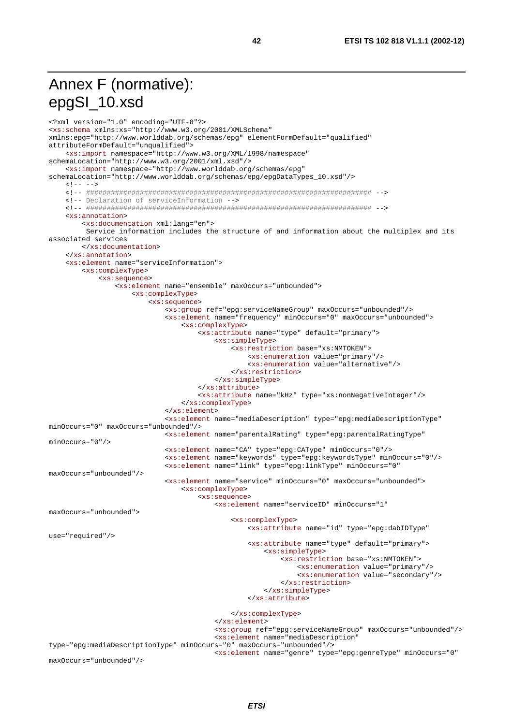## Annex F (normative): epgSI\_10.xsd

```
<?xml version="1.0" encoding="UTF-8"?>
<xs:schema xmlns:xs="http://www.w3.org/2001/XMLSchema"
xmlns:epq="http://www.worlddab.org/schemas/epq" elementFormDefault="qualified"
attributeFormDefault="unqualified">
    <xs:import namespace="http://www.w3.org/XML/1998/namespace"
schemaLocation="http://www.w3.org/2001/xml.xsd"/>
    <xs:import namespace="http://www.worlddab.org/schemas/epg"
schemaLocation="http://www.worlddab.org/schemas/epg/epgDataTypes_10.xsd"/>
   \lt!! -- -->
    <!-- Declaration of serviceInformation -->
   xxs:annotation<xs:documentation xml:lang="en">
        Service information includes the structure of and information about the multiplex and its
associated services
       </xs:documentation>
   \epsilon/\text{res:annotation}<xs:element name="serviceInformation">
       <xs:complexType>
           <xs:sequence>
               <xs:element name="ensemble" maxOccurs="unbounded">
                   <xs:complexType>
                       <xs:sequence>
                           <xs:qroup ref="epq:serviceNameGroup" maxOccurs="unbounded"/>
                           <xs:element name="frequency" minOccurs="0" maxOccurs="unbounded">
                               <xs:complexType>
                                   <xs:attribute name="type" default="primary">
                                       <xs:simpleType>
                                          <xs:restriction base="xs:NMTOKEN">
                                              <xs:enumeration value="primary"/>
                                              <xs:enumeration value="alternative"/>
                                          </xs:restriction>
                                       </xs:simpleType>
                                   </xs:attribute>
                                   <xs:attribute name="kHz" type="xs:nonNegativeInteger"/>
                               </xs:complexType>
                           \frac{1}{2} </xs: element>
                           <xs:element name="mediaDescription" type="epg:mediaDescriptionType"
minOccurs="0" maxOccurs="unbounded"/>
                           <xs:element name="parentalRating" type="epg:parentalRatingType"
minOccurs = "0"/>
                           <xs:element name="CA" type="epg:CAType" minOccurs="0"/>
                           <xs:element name="keywords" type="epg:keywordsType" minOccurs="0"/>
                           <xs:element name="link" type="epg:linkType" minOccurs="0"
maxOccurs="unbounded"/>
                           <xs:element name="service" minOccurs="0" maxOccurs="unbounded">
                               <xs:complexType>
                                   <xs:sequence>
                                       <xs:element name="serviceID" minOccurs="1"
maxOccurs="unbounded">
                                          <xs:complexType>
                                              <xs:attribute name="id" type="epg:dabIDType"
use="required"/>
                                              <xs:attribute name="type" default="primary">
                                                  <xs:simpleType>
                                                      <xs:restriction base="xs:NMTOKEN">
                                                          <xs:enumeration value="primary"/>
                                                          <xs:enumeration value="secondary"/>
                                                      </xs:restriction>
                                                  </xs:simpleType>
                                              </xs:attribute>
                                          </xs:complexType>
                                       \frac{2}{x}s:element>
                                       <xs:group ref="epg:serviceNameGroup" maxOccurs="unbounded"/>
                                       <xs:element name="mediaDescription"
type="epg:mediaDescriptionType" minOccurs="0" maxOccurs="unbounded"/>
                                      <xs:element name="genre" type="epg:genreType" minOccurs="0"
maxOccurs="unbounded"/>
```
42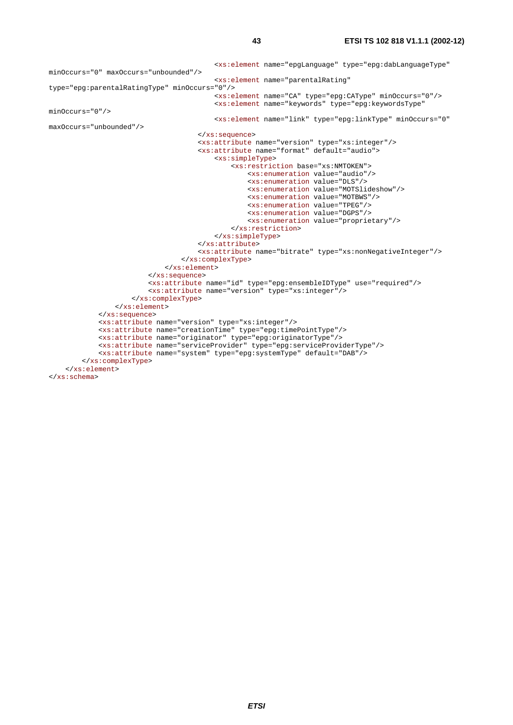```
 <xs:element name="epgLanguage" type="epg:dabLanguageType" 
minOccurs="0" maxOccurs="unbounded"/> 
                                           <xs:element name="parentalRating" 
type="epg:parentalRatingType" minOccurs="0"/> 
                                           <xs:element name="CA" type="epg:CAType" minOccurs="0"/> 
                                           <xs:element name="keywords" type="epg:keywordsType" 
minOccurs="0"/> 
                                           <xs:element name="link" type="epg:linkType" minOccurs="0" 
maxOccurs="unbounded"/> 
                                       </xs:sequence> 
                                       <xs:attribute name="version" type="xs:integer"/> 
                                       <xs:attribute name="format" default="audio"> 
                                           <xs:simpleType> 
                                                <xs:restriction base="xs:NMTOKEN"> 
                                                    <xs:enumeration value="audio"/> 
                                                    <xs:enumeration value="DLS"/> 
                                                    <xs:enumeration value="MOTSlideshow"/> 
                                                    <xs:enumeration value="MOTBWS"/> 
                                                    <xs:enumeration value="TPEG"/> 
                                                    <xs:enumeration value="DGPS"/> 
                                                    <xs:enumeration value="proprietary"/> 
                                                </xs:restriction> 
                                           </xs:simpleType> 
                                       </xs:attribute> 
                                       <xs:attribute name="bitrate" type="xs:nonNegativeInteger"/> 
                                   </xs:complexType> 
                               </xs:element> 
                          </xs:sequence> 
                          <xs:attribute name="id" type="epg:ensembleIDType" use="required"/> 
                          <xs:attribute name="version" type="xs:integer"/> 
                      </xs:complexType> 
                  </xs:element> 
             </xs:sequence> 
             <xs:attribute name="version" type="xs:integer"/> 
             <xs:attribute name="creationTime" type="epg:timePointType"/> 
             <xs:attribute name="originator" type="epg:originatorType"/> 
             <xs:attribute name="serviceProvider" type="epg:serviceProviderType"/> 
             <xs:attribute name="system" type="epg:systemType" default="DAB"/> 
         </xs:complexType> 
     </xs:element> 
</xs:schema>
```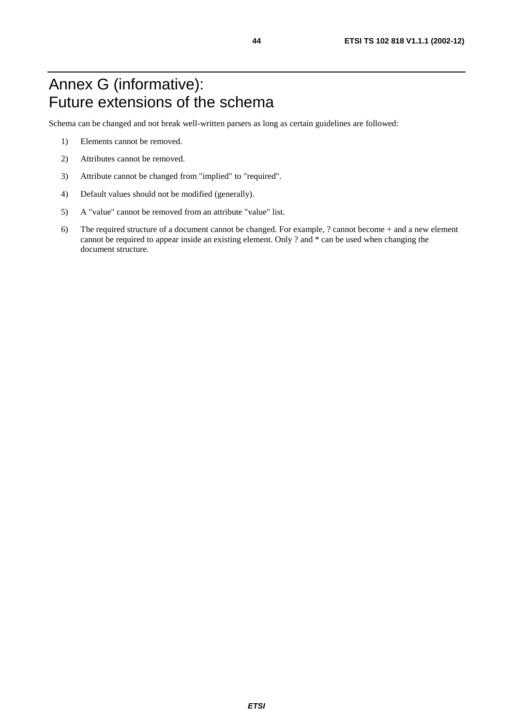## Annex G (informative): Future extensions of the schema

Schema can be changed and not break well-written parsers as long as certain guidelines are followed:

- 1) Elements cannot be removed.
- 2) Attributes cannot be removed.
- 3) Attribute cannot be changed from "implied" to "required".
- 4) Default values should not be modified (generally).
- 5) A "value" cannot be removed from an attribute "value" list.
- 6) The required structure of a document cannot be changed. For example, ? cannot become + and a new element cannot be required to appear inside an existing element. Only ? and \* can be used when changing the document structure.